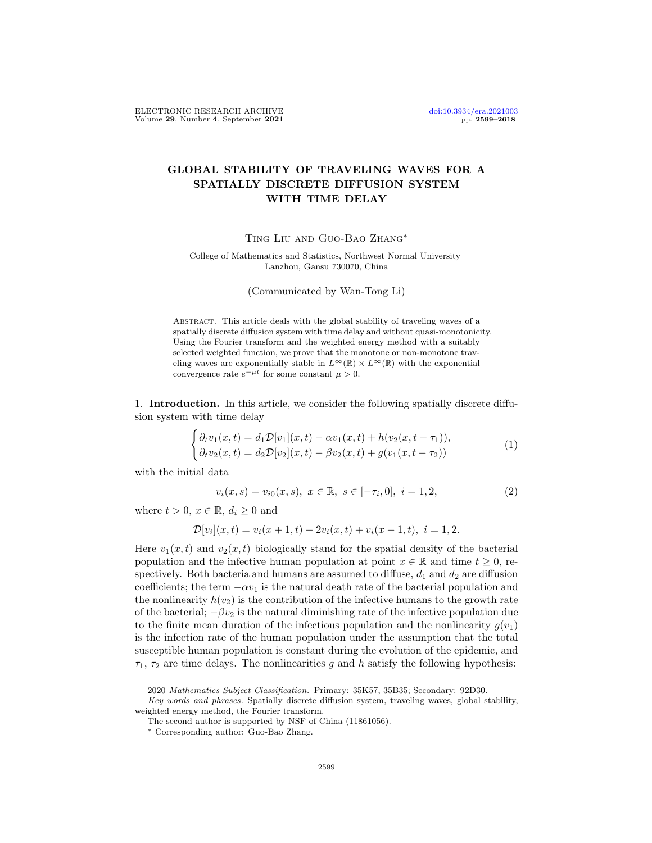## GLOBAL STABILITY OF TRAVELING WAVES FOR A SPATIALLY DISCRETE DIFFUSION SYSTEM WITH TIME DELAY

Ting Liu and Guo-Bao Zhang∗

College of Mathematics and Statistics, Northwest Normal University Lanzhou, Gansu 730070, China

(Communicated by Wan-Tong Li)

Abstract. This article deals with the global stability of traveling waves of a spatially discrete diffusion system with time delay and without quasi-monotonicity. Using the Fourier transform and the weighted energy method with a suitably selected weighted function, we prove that the monotone or non-monotone traveling waves are exponentially stable in  $L^{\infty}(\mathbb{R}) \times L^{\infty}(\mathbb{R})$  with the exponential convergence rate  $e^{-\mu t}$  for some constant  $\mu > 0$ .

1. Introduction. In this article, we consider the following spatially discrete diffusion system with time delay

$$
\begin{cases} \partial_t v_1(x,t) = d_1 \mathcal{D}[v_1](x,t) - \alpha v_1(x,t) + h(v_2(x,t-\tau_1)), \\ \partial_t v_2(x,t) = d_2 \mathcal{D}[v_2](x,t) - \beta v_2(x,t) + g(v_1(x,t-\tau_2)) \end{cases} (1)
$$

with the initial data

<span id="page-0-1"></span><span id="page-0-0"></span>
$$
v_i(x,s) = v_{i0}(x,s), \ x \in \mathbb{R}, \ s \in [-\tau_i, 0], \ i = 1, 2,
$$
\n<sup>(2)</sup>

where  $t > 0$ ,  $x \in \mathbb{R}$ ,  $d_i \geq 0$  and

$$
\mathcal{D}[v_i](x,t) = v_i(x+1,t) - 2v_i(x,t) + v_i(x-1,t), \quad i = 1,2.
$$

Here  $v_1(x, t)$  and  $v_2(x, t)$  biologically stand for the spatial density of the bacterial population and the infective human population at point  $x \in \mathbb{R}$  and time  $t \geq 0$ , respectively. Both bacteria and humans are assumed to diffuse,  $d_1$  and  $d_2$  are diffusion coefficients; the term  $-\alpha v_1$  is the natural death rate of the bacterial population and the nonlinearity  $h(v_2)$  is the contribution of the infective humans to the growth rate of the bacterial;  $-\beta v_2$  is the natural diminishing rate of the infective population due to the finite mean duration of the infectious population and the nonlinearity  $g(v_1)$ is the infection rate of the human population under the assumption that the total susceptible human population is constant during the evolution of the epidemic, and  $\tau_1$ ,  $\tau_2$  are time delays. The nonlinearities g and h satisfy the following hypothesis:

<sup>2020</sup> Mathematics Subject Classification. Primary: 35K57, 35B35; Secondary: 92D30.

Key words and phrases. Spatially discrete diffusion system, traveling waves, global stability, weighted energy method, the Fourier transform.

The second author is supported by NSF of China (11861056).

<sup>∗</sup> Corresponding author: Guo-Bao Zhang.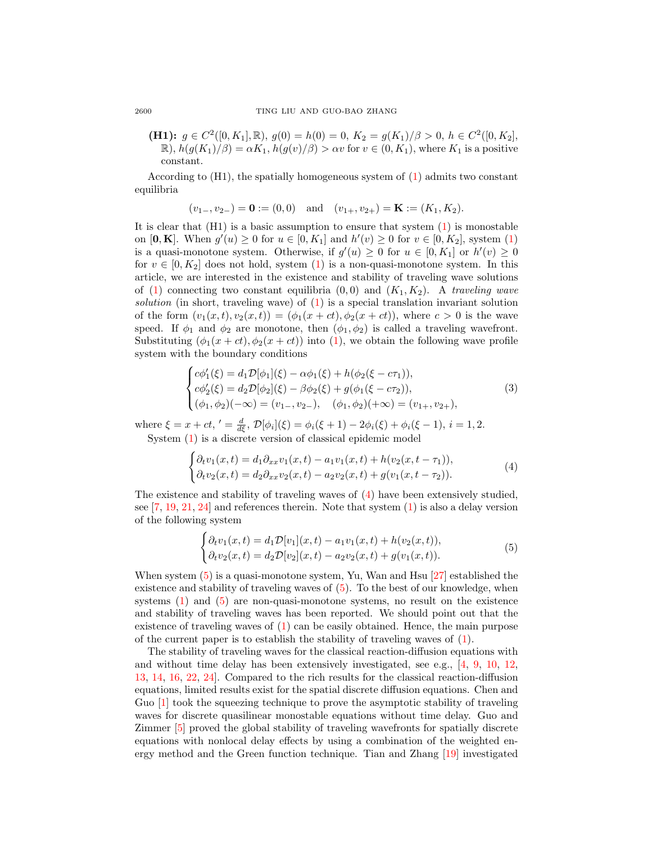(H1):  $g \in C^2([0, K_1], \mathbb{R})$ ,  $g(0) = h(0) = 0$ ,  $K_2 = g(K_1)/\beta > 0$ ,  $h \in C^2([0, K_2],$  $\mathbb{R}$ ,  $h(g(K_1)/\beta) = \alpha K_1$ ,  $h(g(v)/\beta) > \alpha v$  for  $v \in (0, K_1)$ , where  $K_1$  is a positive constant.

According to (H1), the spatially homogeneous system of [\(1\)](#page-0-0) admits two constant equilibria

$$
(v_{1-}, v_{2-}) = \mathbf{0} := (0, 0)
$$
 and  $(v_{1+}, v_{2+}) = \mathbf{K} := (K_1, K_2).$ 

It is clear that  $(H1)$  is a basic assumption to ensure that system  $(1)$  is monostable on  $[\mathbf{0}, \mathbf{K}]$ . When  $g'(u) \ge 0$  for  $u \in [0, K_1]$  and  $h'(v) \ge 0$  for  $v \in [0, K_2]$ , system [\(1\)](#page-0-0) is a quasi-monotone system. Otherwise, if  $g'(u) \geq 0$  for  $u \in [0, K_1]$  or  $h'(v) \geq 0$ for  $v \in [0, K_2]$  does not hold, system [\(1\)](#page-0-0) is a non-quasi-monotone system. In this article, we are interested in the existence and stability of traveling wave solutions of [\(1\)](#page-0-0) connecting two constant equilibria  $(0,0)$  and  $(K_1, K_2)$ . A traveling wave solution (in short, traveling wave) of  $(1)$  is a special translation invariant solution of the form  $(v_1(x, t), v_2(x, t)) = (\phi_1(x + ct), \phi_2(x + ct))$ , where  $c > 0$  is the wave speed. If  $\phi_1$  and  $\phi_2$  are monotone, then  $(\phi_1, \phi_2)$  is called a traveling wavefront. Substituting  $(\phi_1(x + ct), \phi_2(x + ct))$  into [\(1\)](#page-0-0), we obtain the following wave profile system with the boundary conditions

<span id="page-1-2"></span>
$$
\begin{cases}\nc\phi_1'(\xi) = d_1 \mathcal{D}[\phi_1](\xi) - \alpha \phi_1(\xi) + h(\phi_2(\xi - c\tau_1)), \\
c\phi_2'(\xi) = d_2 \mathcal{D}[\phi_2](\xi) - \beta \phi_2(\xi) + g(\phi_1(\xi - c\tau_2)), \\
(\phi_1, \phi_2)(-\infty) = (v_1_-, v_2_-, \quad (\phi_1, \phi_2)(+\infty) = (v_{1+}, v_{2+}),\n\end{cases} (3)
$$

where  $\xi = x + ct, ' = \frac{d}{d\xi}, \mathcal{D}[\phi_i](\xi) = \phi_i(\xi + 1) - 2\phi_i(\xi) + \phi_i(\xi - 1), i = 1, 2.$ System [\(1\)](#page-0-0) is a discrete version of classical epidemic model

$$
\begin{cases} \partial_t v_1(x,t) = d_1 \partial_{xx} v_1(x,t) - a_1 v_1(x,t) + h(v_2(x,t-\tau_1)), \\ \partial_t v_2(x,t) = d_2 \partial_{xx} v_2(x,t) - a_2 v_2(x,t) + g(v_1(x,t-\tau_2)). \end{cases} (4)
$$

The existence and stability of traveling waves of [\(4\)](#page-1-0) have been extensively studied, see [\[7,](#page-18-0) [19,](#page-19-0) [21,](#page-19-1) [24\]](#page-19-2) and references therein. Note that system [\(1\)](#page-0-0) is also a delay version of the following system

<span id="page-1-1"></span><span id="page-1-0"></span>
$$
\begin{cases} \partial_t v_1(x,t) = d_1 \mathcal{D}[v_1](x,t) - a_1 v_1(x,t) + h(v_2(x,t)), \\ \partial_t v_2(x,t) = d_2 \mathcal{D}[v_2](x,t) - a_2 v_2(x,t) + g(v_1(x,t)). \end{cases} (5)
$$

When system [\(5\)](#page-1-1) is a quasi-monotone system, Yu, Wan and Hsu [\[27\]](#page-19-3) established the existence and stability of traveling waves of [\(5\)](#page-1-1). To the best of our knowledge, when systems  $(1)$  and  $(5)$  are non-quasi-monotone systems, no result on the existence and stability of traveling waves has been reported. We should point out that the existence of traveling waves of [\(1\)](#page-0-0) can be easily obtained. Hence, the main purpose of the current paper is to establish the stability of traveling waves of [\(1\)](#page-0-0).

The stability of traveling waves for the classical reaction-diffusion equations with and without time delay has been extensively investigated, see e.g., [\[4,](#page-18-1) [9,](#page-18-2) [10,](#page-18-3) [12,](#page-18-4) [13,](#page-18-5) [14,](#page-18-6) [16,](#page-18-7) [22,](#page-19-4) [24\]](#page-19-2). Compared to the rich results for the classical reaction-diffusion equations, limited results exist for the spatial discrete diffusion equations. Chen and Guo [\[1\]](#page-18-8) took the squeezing technique to prove the asymptotic stability of traveling waves for discrete quasilinear monostable equations without time delay. Guo and Zimmer [\[5\]](#page-18-9) proved the global stability of traveling wavefronts for spatially discrete equations with nonlocal delay effects by using a combination of the weighted energy method and the Green function technique. Tian and Zhang [\[19\]](#page-19-0) investigated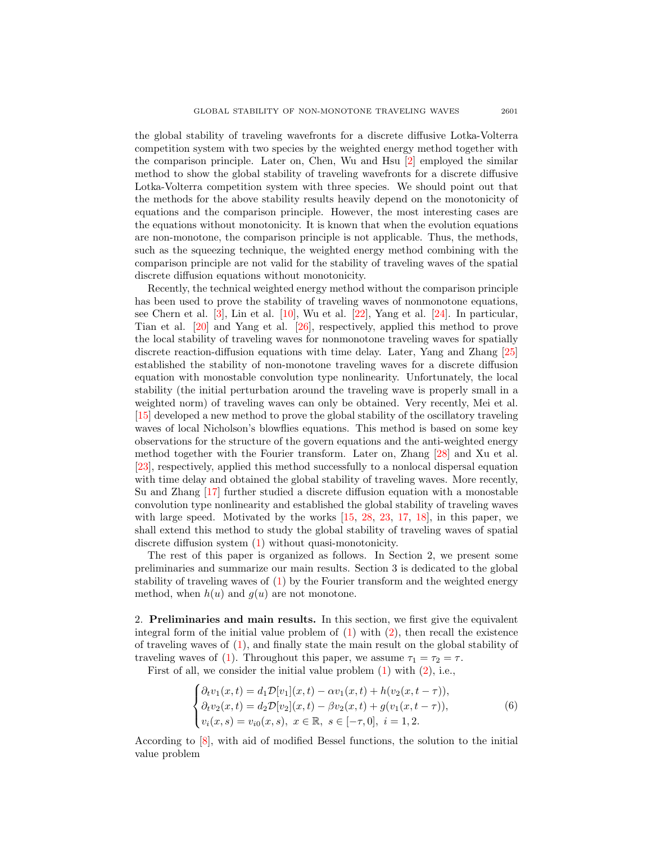the global stability of traveling wavefronts for a discrete diffusive Lotka-Volterra competition system with two species by the weighted energy method together with the comparison principle. Later on, Chen, Wu and Hsu [\[2\]](#page-18-10) employed the similar method to show the global stability of traveling wavefronts for a discrete diffusive Lotka-Volterra competition system with three species. We should point out that the methods for the above stability results heavily depend on the monotonicity of equations and the comparison principle. However, the most interesting cases are the equations without monotonicity. It is known that when the evolution equations are non-monotone, the comparison principle is not applicable. Thus, the methods, such as the squeezing technique, the weighted energy method combining with the comparison principle are not valid for the stability of traveling waves of the spatial discrete diffusion equations without monotonicity.

Recently, the technical weighted energy method without the comparison principle has been used to prove the stability of traveling waves of nonmonotone equations, see Chern et al.  $[3]$ , Lin et al.  $[10]$ , Wu et al.  $[22]$ , Yang et al.  $[24]$ . In particular, Tian et al. [\[20\]](#page-19-5) and Yang et al. [\[26\]](#page-19-6), respectively, applied this method to prove the local stability of traveling waves for nonmonotone traveling waves for spatially discrete reaction-diffusion equations with time delay. Later, Yang and Zhang [\[25\]](#page-19-7) established the stability of non-monotone traveling waves for a discrete diffusion equation with monostable convolution type nonlinearity. Unfortunately, the local stability (the initial perturbation around the traveling wave is properly small in a weighted norm) of traveling waves can only be obtained. Very recently, Mei et al. [\[15\]](#page-18-12) developed a new method to prove the global stability of the oscillatory traveling waves of local Nicholson's blowflies equations. This method is based on some key observations for the structure of the govern equations and the anti-weighted energy method together with the Fourier transform. Later on, Zhang [\[28\]](#page-19-8) and Xu et al. [\[23\]](#page-19-9), respectively, applied this method successfully to a nonlocal dispersal equation with time delay and obtained the global stability of traveling waves. More recently, Su and Zhang [\[17\]](#page-18-13) further studied a discrete diffusion equation with a monostable convolution type nonlinearity and established the global stability of traveling waves with large speed. Motivated by the works [\[15,](#page-18-12) [28,](#page-19-8) [23,](#page-19-9) [17,](#page-18-13) [18\]](#page-19-10), in this paper, we shall extend this method to study the global stability of traveling waves of spatial discrete diffusion system [\(1\)](#page-0-0) without quasi-monotonicity.

The rest of this paper is organized as follows. In Section 2, we present some preliminaries and summarize our main results. Section 3 is dedicated to the global stability of traveling waves of  $(1)$  by the Fourier transform and the weighted energy method, when  $h(u)$  and  $g(u)$  are not monotone.

2. Preliminaries and main results. In this section, we first give the equivalent integral form of the initial value problem of  $(1)$  with  $(2)$ , then recall the existence of traveling waves of [\(1\)](#page-0-0), and finally state the main result on the global stability of traveling waves of [\(1\)](#page-0-0). Throughout this paper, we assume  $\tau_1 = \tau_2 = \tau$ .

First of all, we consider the initial value problem [\(1\)](#page-0-0) with [\(2\)](#page-0-1), i.e.,

<span id="page-2-0"></span>
$$
\begin{cases}\n\partial_t v_1(x,t) = d_1 \mathcal{D}[v_1](x,t) - \alpha v_1(x,t) + h(v_2(x,t-\tau)), \\
\partial_t v_2(x,t) = d_2 \mathcal{D}[v_2](x,t) - \beta v_2(x,t) + g(v_1(x,t-\tau)), \\
v_i(x,s) = v_{i0}(x,s), \ x \in \mathbb{R}, \ s \in [-\tau, 0], \ i = 1, 2.\n\end{cases}
$$
\n(6)

According to [\[8\]](#page-18-14), with aid of modified Bessel functions, the solution to the initial value problem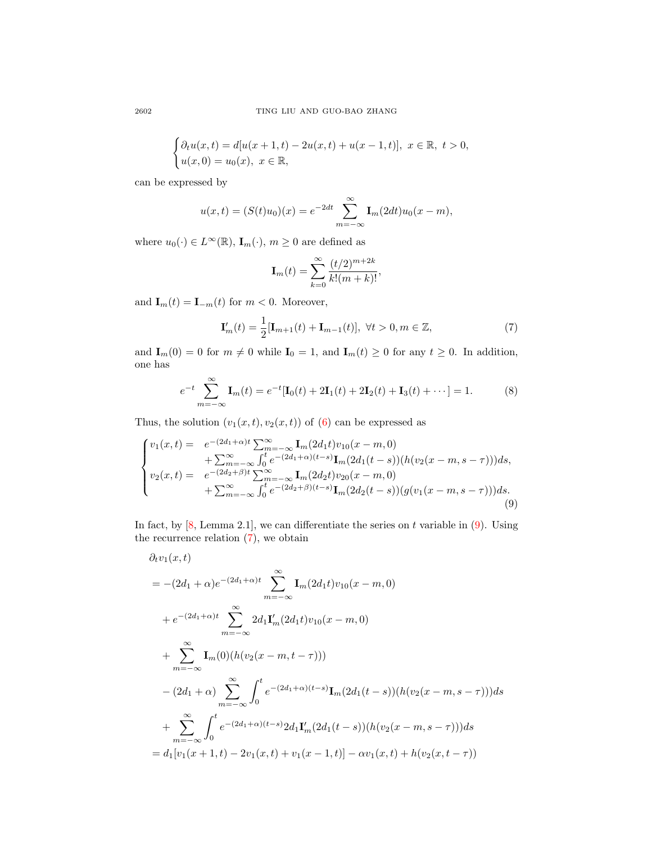$$
\begin{cases} \partial_t u(x,t) = d[u(x+1,t) - 2u(x,t) + u(x-1,t)], \ x \in \mathbb{R}, \ t > 0, \\ u(x,0) = u_0(x), \ x \in \mathbb{R}, \end{cases}
$$

can be expressed by

$$
u(x,t) = (S(t)u_0)(x) = e^{-2dt} \sum_{m=-\infty}^{\infty} \mathbf{I}_m(2dt)u_0(x-m),
$$

where  $u_0(\cdot) \in L^{\infty}(\mathbb{R})$ ,  $\mathbf{I}_m(\cdot)$ ,  $m \geq 0$  are defined as

<span id="page-3-2"></span><span id="page-3-1"></span><span id="page-3-0"></span>
$$
\mathbf{I}_m(t) = \sum_{k=0}^{\infty} \frac{(t/2)^{m+2k}}{k!(m+k)!},
$$

and  $\mathbf{I}_m(t) = \mathbf{I}_{-m}(t)$  for  $m < 0$ . Moreover,

$$
\mathbf{I}'_m(t) = \frac{1}{2} [\mathbf{I}_{m+1}(t) + \mathbf{I}_{m-1}(t)], \ \forall t > 0, m \in \mathbb{Z},
$$
\n(7)

and  $I_m(0) = 0$  for  $m \neq 0$  while  $I_0 = 1$ , and  $I_m(t) \geq 0$  for any  $t \geq 0$ . In addition, one has

$$
e^{-t} \sum_{m=-\infty}^{\infty} \mathbf{I}_m(t) = e^{-t} [\mathbf{I}_0(t) + 2\mathbf{I}_1(t) + 2\mathbf{I}_2(t) + \mathbf{I}_3(t) + \cdots] = 1.
$$
 (8)

Thus, the solution  $(v_1(x, t), v_2(x, t))$  of [\(6\)](#page-2-0) can be expressed as

$$
\begin{cases}\nv_1(x,t) = e^{-(2d_1+\alpha)t} \sum_{m=-\infty}^{\infty} \mathbf{I}_m(2d_1t)v_{10}(x-m,0) \\
+ \sum_{m=-\infty}^{\infty} \int_0^t e^{-(2d_1+\alpha)(t-s)} \mathbf{I}_m(2d_1(t-s))(h(v_2(x-m,s-\tau)))ds, \\
v_2(x,t) = e^{-(2d_2+\beta)t} \sum_{m=-\infty}^{\infty} \mathbf{I}_m(2d_2t)v_{20}(x-m,0) \\
+ \sum_{m=-\infty}^{\infty} \int_0^t e^{-(2d_2+\beta)(t-s)} \mathbf{I}_m(2d_2(t-s))(g(v_1(x-m,s-\tau)))ds.\n\end{cases} \tag{9}
$$

In fact, by  $[8]$ , Lemma 2.1], we can differentiate the series on t variable in  $(9)$ . Using the recurrence relation  $(7)$ , we obtain

$$
\partial_t v_1(x,t)
$$
\n
$$
= -(2d_1 + \alpha)e^{-(2d_1 + \alpha)t} \sum_{m=-\infty}^{\infty} \mathbf{I}_m(2d_1t)v_{10}(x - m, 0)
$$
\n
$$
+ e^{-(2d_1 + \alpha)t} \sum_{m=-\infty}^{\infty} 2d_1 \mathbf{I}'_m(2d_1t)v_{10}(x - m, 0)
$$
\n
$$
+ \sum_{m=-\infty}^{\infty} \mathbf{I}_m(0)(h(v_2(x - m, t - \tau)))
$$
\n
$$
- (2d_1 + \alpha) \sum_{m=-\infty}^{\infty} \int_0^t e^{-(2d_1 + \alpha)(t - s)} \mathbf{I}_m(2d_1(t - s))(h(v_2(x - m, s - \tau)))ds
$$
\n
$$
+ \sum_{m=-\infty}^{\infty} \int_0^t e^{-(2d_1 + \alpha)(t - s)} 2d_1 \mathbf{I}'_m(2d_1(t - s))(h(v_2(x - m, s - \tau)))ds
$$
\n
$$
= d_1[v_1(x + 1, t) - 2v_1(x, t) + v_1(x - 1, t)] - \alpha v_1(x, t) + h(v_2(x, t - \tau))
$$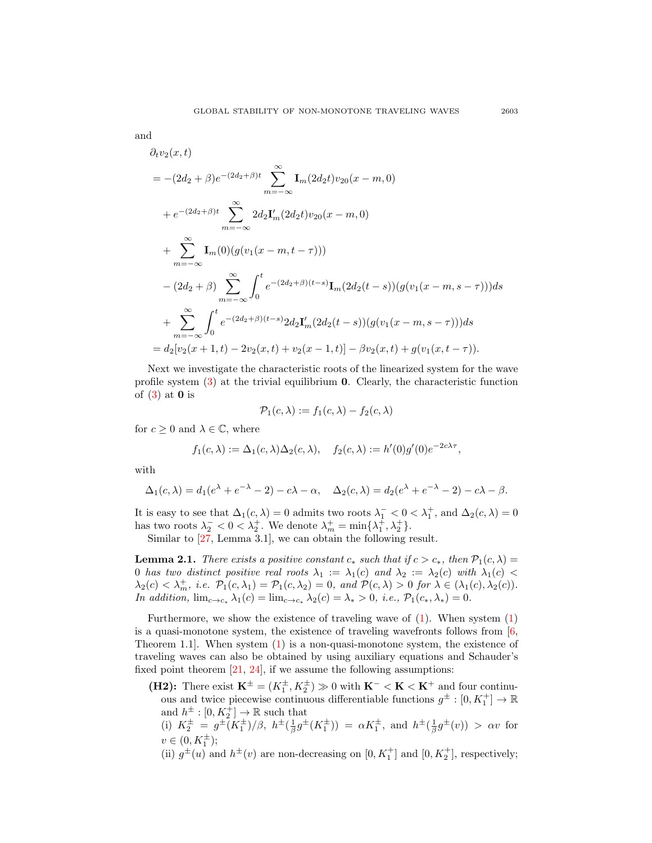$$
\quad\text{and}\quad
$$

$$
\partial_t v_2(x,t)
$$
  
=  $-(2d_2 + \beta)e^{-(2d_2+\beta)t} \sum_{m=-\infty}^{\infty} \mathbf{I}_m(2d_2t)v_{20}(x-m,0)$   
+  $e^{-(2d_2+\beta)t} \sum_{m=-\infty}^{\infty} 2d_2\mathbf{I}'_m(2d_2t)v_{20}(x-m,0)$   
+  $\sum_{m=-\infty}^{\infty} \mathbf{I}_m(0)(g(v_1(x-m,t-\tau)))$   
-  $(2d_2 + \beta) \sum_{m=-\infty}^{\infty} \int_0^t e^{-(2d_2+\beta)(t-s)} \mathbf{I}_m(2d_2(t-s))(g(v_1(x-m,s-\tau)))ds$   
+  $\sum_{m=-\infty}^{\infty} \int_0^t e^{-(2d_2+\beta)(t-s)} 2d_2\mathbf{I}'_m(2d_2(t-s))(g(v_1(x-m,s-\tau)))ds$   
=  $d_2[v_2(x+1,t) - 2v_2(x,t) + v_2(x-1,t)] - \beta v_2(x,t) + g(v_1(x,t-\tau)).$ 

Next we investigate the characteristic roots of the linearized system for the wave profile system  $(3)$  at the trivial equilibrium **0.** Clearly, the characteristic function of  $(3)$  at 0 is

$$
\mathcal{P}_1(c,\lambda) := f_1(c,\lambda) - f_2(c,\lambda)
$$

for  $c \geq 0$  and  $\lambda \in \mathbb{C}$ , where

$$
f_1(c,\lambda) := \Delta_1(c,\lambda)\Delta_2(c,\lambda), \quad f_2(c,\lambda) := h'(0)g'(0)e^{-2c\lambda\tau},
$$

with

$$
\Delta_1(c,\lambda) = d_1(e^{\lambda} + e^{-\lambda} - 2) - c\lambda - \alpha, \quad \Delta_2(c,\lambda) = d_2(e^{\lambda} + e^{-\lambda} - 2) - c\lambda - \beta.
$$

It is easy to see that  $\Delta_1(c,\lambda) = 0$  admits two roots  $\lambda_1^- < 0 < \lambda_1^+$ , and  $\Delta_2(c,\lambda) = 0$ has two roots  $\lambda_2^- < 0 < \lambda_2^+$ . We denote  $\lambda_m^+ = \min{\{\lambda_1^+, \lambda_2^+\}}$ .

Similar to [\[27,](#page-19-3) Lemma 3.1], we can obtain the following result.

<span id="page-4-0"></span>**Lemma 2.1.** There exists a positive constant  $c_*$  such that if  $c > c_*$ , then  $\mathcal{P}_1(c, \lambda) =$ 0 has two distinct positive real roots  $\lambda_1 := \lambda_1(c)$  and  $\lambda_2 := \lambda_2(c)$  with  $\lambda_1(c)$  $\lambda_2(c) < \lambda_m^+, i.e.$   $\mathcal{P}_1(c, \lambda_1) = \mathcal{P}_1(c, \lambda_2) = 0$ , and  $\mathcal{P}(c, \lambda) > 0$  for  $\lambda \in (\lambda_1(c), \lambda_2(c))$ . In addition,  $\lim_{c \to c_*} \lambda_1(c) = \lim_{c \to c_*} \lambda_2(c) = \lambda_* > 0$ , i.e.,  $\mathcal{P}_1(c_*, \lambda_*) = 0$ .

Furthermore, we show the existence of traveling wave of  $(1)$ . When system  $(1)$ is a quasi-monotone system, the existence of traveling wavefronts follows from [\[6,](#page-18-15) Theorem 1.1]. When system [\(1\)](#page-0-0) is a non-quasi-monotone system, the existence of traveling waves can also be obtained by using auxiliary equations and Schauder's fixed point theorem  $[21, 24]$  $[21, 24]$  $[21, 24]$ , if we assume the following assumptions:

- (H2): There exist  $\mathbf{K}^{\pm} = (K_1^{\pm}, K_2^{\pm}) \gg 0$  with  $\mathbf{K}^- < \mathbf{K} < \mathbf{K}^+$  and four continuous and twice piecewise continuous differentiable functions  $g^\pm:[0,K_1^+]\to\mathbb{R}$ and  $h^{\pm} : [0, K_2^+] \to \mathbb{R}$  such that
	- (i)  $K_2^{\pm} = g^{\pm}(K_1^{\pm})/\beta$ ,  $h^{\pm}(\frac{1}{\beta}g^{\pm}(K_1^{\pm})) = \alpha K_1^{\pm}$ , and  $h^{\pm}(\frac{1}{\beta}g^{\pm}(v)) > \alpha v$  for  $v \in (0, K_1^{\pm});$
	- (ii)  $g^{\pm}(u)$  and  $h^{\pm}(v)$  are non-decreasing on  $[0, K_1^+]$  and  $[0, K_2^+]$ , respectively;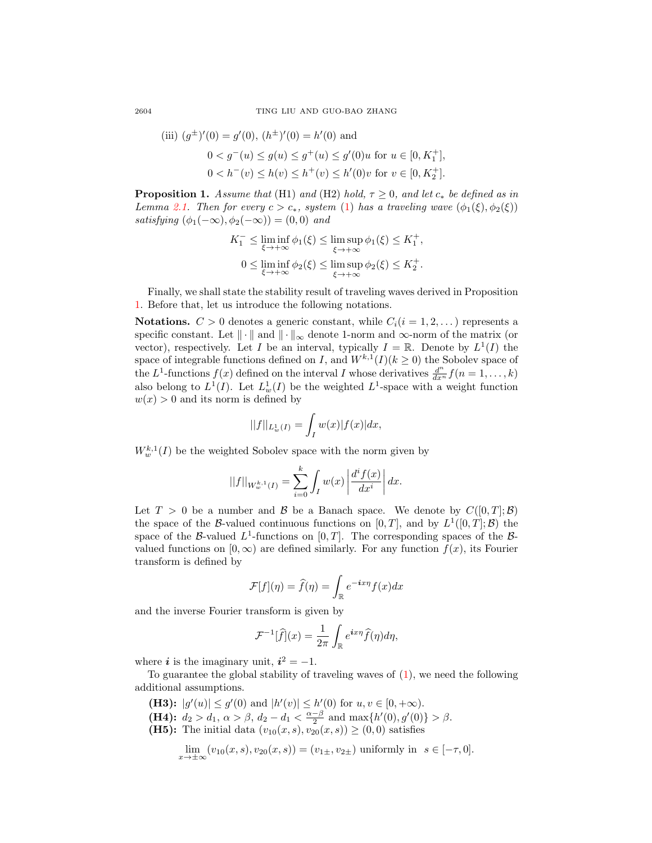2604 TING LIU AND GUO-BAO ZHANG

(iii) 
$$
(g^{\pm})'(0) = g'(0), (h^{\pm})'(0) = h'(0)
$$
 and  
\n $0 < g^{-}(u) \le g(u) \le g^{+}(u) \le g'(0)u$  for  $u \in [0, K_{1}^{+}],$   
\n $0 < h^{-}(v) \le h(v) \le h^{+}(v) \le h'(0)v$  for  $v \in [0, K_{2}^{+}].$ 

<span id="page-5-0"></span>**Proposition 1.** Assume that (H1) and (H2) hold,  $\tau \geq 0$ , and let  $c_*$  be defined as in Lemma [2.1.](#page-4-0) Then for every  $c > c_*$ , system [\(1\)](#page-0-0) has a traveling wave  $(\phi_1(\xi), \phi_2(\xi))$ satisfying  $(\phi_1(-\infty), \phi_2(-\infty)) = (0, 0)$  and

$$
K_1^- \le \liminf_{\xi \to +\infty} \phi_1(\xi) \le \limsup_{\xi \to +\infty} \phi_1(\xi) \le K_1^+,
$$
  
0 \le \liminf\_{\xi \to +\infty} \phi\_2(\xi) \le \limsup\_{\xi \to +\infty} \phi\_2(\xi) \le K\_2^+.

Finally, we shall state the stability result of traveling waves derived in Proposition [1.](#page-5-0) Before that, let us introduce the following notations.

Notations.  $C > 0$  denotes a generic constant, while  $C_i(i = 1, 2, ...)$  represents a specific constant. Let  $\|\cdot\|$  and  $\|\cdot\|_{\infty}$  denote 1-norm and  $\infty$ -norm of the matrix (or vector), respectively. Let I be an interval, typically  $I = \mathbb{R}$ . Denote by  $L^1(I)$  the space of integrable functions defined on I, and  $W^{k,1}(I)(k \geq 0)$  the Sobolev space of the L<sup>1</sup>-functions  $f(x)$  defined on the interval I whose derivatives  $\frac{d^n}{dx^n}f(n=1,\ldots,k)$ also belong to  $L^1(I)$ . Let  $L^1_w(I)$  be the weighted  $L^1$ -space with a weight function  $w(x) > 0$  and its norm is defined by

$$
||f||_{L^1_w(I)} = \int_I w(x)|f(x)|dx,
$$

 $W_w^{k,1}(I)$  be the weighted Sobolev space with the norm given by

$$
||f||_{W^{k,1}_w(I)} = \sum_{i=0}^k \int_I w(x) \left| \frac{d^i f(x)}{dx^i} \right| dx.
$$

Let  $T > 0$  be a number and  $\beta$  be a Banach space. We denote by  $C([0, T]; \beta)$ the space of the B-valued continuous functions on  $[0, T]$ , and by  $L^1([0, T]; \mathcal{B})$  the space of the B-valued  $L^1$ -functions on  $[0, T]$ . The corresponding spaces of the Bvalued functions on  $[0, \infty)$  are defined similarly. For any function  $f(x)$ , its Fourier transform is defined by

$$
\mathcal{F}[f](\eta) = \hat{f}(\eta) = \int_{\mathbb{R}} e^{-i x \eta} f(x) dx
$$

and the inverse Fourier transform is given by

$$
\mathcal{F}^{-1}[\widehat{f}](x) = \frac{1}{2\pi} \int_{\mathbb{R}} e^{ix\eta} \widehat{f}(\eta) d\eta,
$$

where *i* is the imaginary unit,  $i^2 = -1$ .

To guarantee the global stability of traveling waves of [\(1\)](#page-0-0), we need the following additional assumptions.

- (H3):  $|g'(u)| \leq g'(0)$  and  $|h'(v)| \leq h'(0)$  for  $u, v \in [0, +\infty)$ .
- (H4):  $d_2 > d_1, \, \alpha > \beta, \, d_2 d_1 < \frac{\alpha \beta}{2}$  and  $\max\{h'(0), g'(0)\} > \beta$ .
- (**H5)**: The initial data  $(v_{10}(x, s), v_{20}(x, s)) \ge (0, 0)$  satisfies

$$
\lim_{x \to \pm \infty} (v_{10}(x, s), v_{20}(x, s)) = (v_{1\pm}, v_{2\pm}) \text{ uniformly in } s \in [-\tau, 0].
$$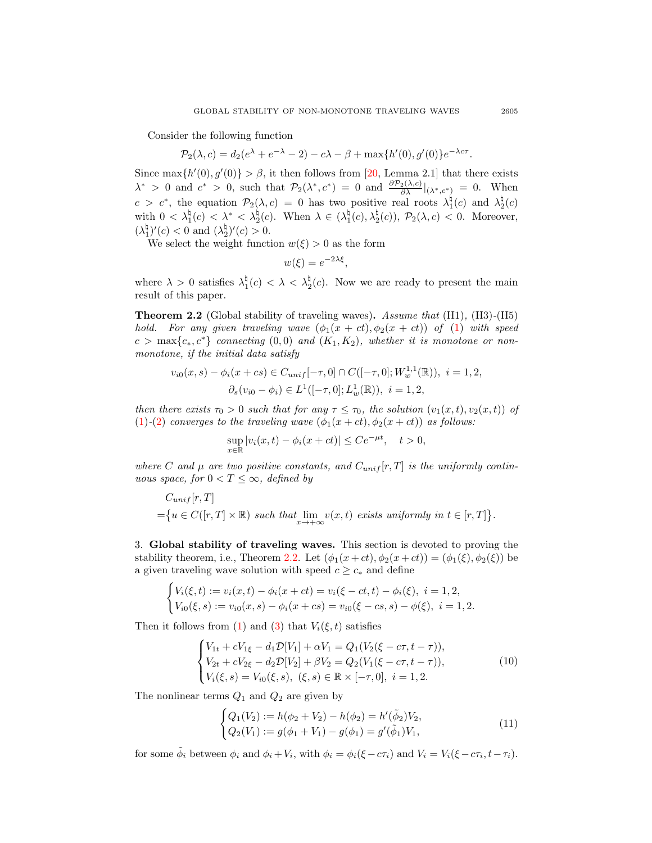Consider the following function

$$
\mathcal{P}_2(\lambda, c) = d_2(e^{\lambda} + e^{-\lambda} - 2) - c\lambda - \beta + \max\{h'(0), g'(0)\}e^{-\lambda c \tau}.
$$

Since max $\{h'(0), g'(0)\} > \beta$ , it then follows from [\[20,](#page-19-5) Lemma 2.1] that there exists  $\lambda^* > 0$  and  $c^* > 0$ , such that  $\mathcal{P}_2(\lambda^*, c^*) = 0$  and  $\frac{\partial \mathcal{P}_2(\lambda, c)}{\partial \lambda}|_{(\lambda^*, c^*)} = 0$ . When  $c > c^*$ , the equation  $\mathcal{P}_2(\lambda, c) = 0$  has two positive real roots  $\lambda_1^{\natural}(c)$  and  $\lambda_2^{\natural}(c)$ with  $0 < \lambda_1^{\natural}(c) < \lambda^* < \lambda_2^{\natural}(c)$ . When  $\lambda \in (\lambda_1^{\natural}(c), \lambda_2^{\natural}(c))$ ,  $\mathcal{P}_2(\lambda, c) < 0$ . Moreover,  $(\lambda_1^{\natural})'(c) < 0$  and  $(\lambda_2^{\natural})'(c) > 0$ .

We select the weight function  $w(\xi) > 0$  as the form

$$
w(\xi) = e^{-2\lambda\xi},
$$

where  $\lambda > 0$  satisfies  $\lambda_1^{\natural}(c) < \lambda < \lambda_2^{\natural}(c)$ . Now we are ready to present the main result of this paper.

<span id="page-6-0"></span>Theorem 2.2 (Global stability of traveling waves). Assume that (H1), (H3)-(H5) hold. For any given traveling wave  $(\phi_1(x + ct), \phi_2(x + ct))$  of [\(1\)](#page-0-0) with speed  $c > \max\{c_*, c^*\}$  connecting  $(0, 0)$  and  $(K_1, K_2)$ , whether it is monotone or nonmonotone, if the initial data satisfy

$$
v_{i0}(x,s) - \phi_i(x+cs) \in C_{unif}[-\tau,0] \cap C([-\tau,0];W_w^{1,1}(\mathbb{R})), \ i = 1,2,
$$
  

$$
\partial_s(v_{i0} - \phi_i) \in L^1([-\tau,0];L_w^1(\mathbb{R})), \ i = 1,2,
$$

then there exists  $\tau_0 > 0$  such that for any  $\tau \leq \tau_0$ , the solution  $(v_1(x, t), v_2(x, t))$  of [\(1\)](#page-0-0)-[\(2\)](#page-0-1) converges to the traveling wave  $(\phi_1(x+ct), \phi_2(x+ct))$  as follows:

$$
\sup_{x \in \mathbb{R}} |v_i(x, t) - \phi_i(x + ct)| \le Ce^{-\mu t}, \quad t > 0,
$$

where C and  $\mu$  are two positive constants, and  $C_{unif}[r,T]$  is the uniformly continuous space, for  $0 < T \leq \infty$ , defined by

$$
C_{unif}[r,T]
$$
  
= $\{u \in C([r,T] \times \mathbb{R}) \text{ such that } \lim_{x \to +\infty} v(x,t) \text{ exists uniformly in } t \in [r,T] \}.$ 

3. Global stability of traveling waves. This section is devoted to proving the stability theorem, i.e., Theorem [2.2.](#page-6-0) Let  $(\phi_1(x+ct), \phi_2(x+ct)) = (\phi_1(\xi), \phi_2(\xi))$  be a given traveling wave solution with speed  $c \geq c_*$  and define

$$
\begin{cases} V_i(\xi, t) := v_i(x, t) - \phi_i(x + ct) = v_i(\xi - ct, t) - \phi_i(\xi), \ i = 1, 2, \\ V_{i0}(\xi, s) := v_{i0}(x, s) - \phi_i(x + cs) = v_{i0}(\xi - cs, s) - \phi(\xi), \ i = 1, 2. \end{cases}
$$

Then it follows from [\(1\)](#page-0-0) and [\(3\)](#page-1-2) that  $V_i(\xi, t)$  satisfies

$$
\begin{cases}\nV_{1t} + cV_{1\xi} - d_1 \mathcal{D}[V_1] + \alpha V_1 = Q_1 (V_2(\xi - c\tau, t - \tau)), \\
V_{2t} + cV_{2\xi} - d_2 \mathcal{D}[V_2] + \beta V_2 = Q_2 (V_1(\xi - c\tau, t - \tau)), \\
V_i(\xi, s) = V_{i0}(\xi, s), \ (\xi, s) \in \mathbb{R} \times [-\tau, 0], \ i = 1, 2.\n\end{cases}
$$
\n(10)

The nonlinear terms  $Q_1$  and  $Q_2$  are given by

<span id="page-6-2"></span><span id="page-6-1"></span>
$$
\begin{cases} Q_1(V_2) := h(\phi_2 + V_2) - h(\phi_2) = h'(\tilde{\phi}_2)V_2, \\ Q_2(V_1) := g(\phi_1 + V_1) - g(\phi_1) = g'(\tilde{\phi}_1)V_1, \end{cases}
$$
(11)

for some  $\tilde{\phi}_i$  between  $\phi_i$  and  $\phi_i + V_i$ , with  $\phi_i = \phi_i(\xi - c\tau_i)$  and  $V_i = V_i(\xi - c\tau_i, t - \tau_i)$ .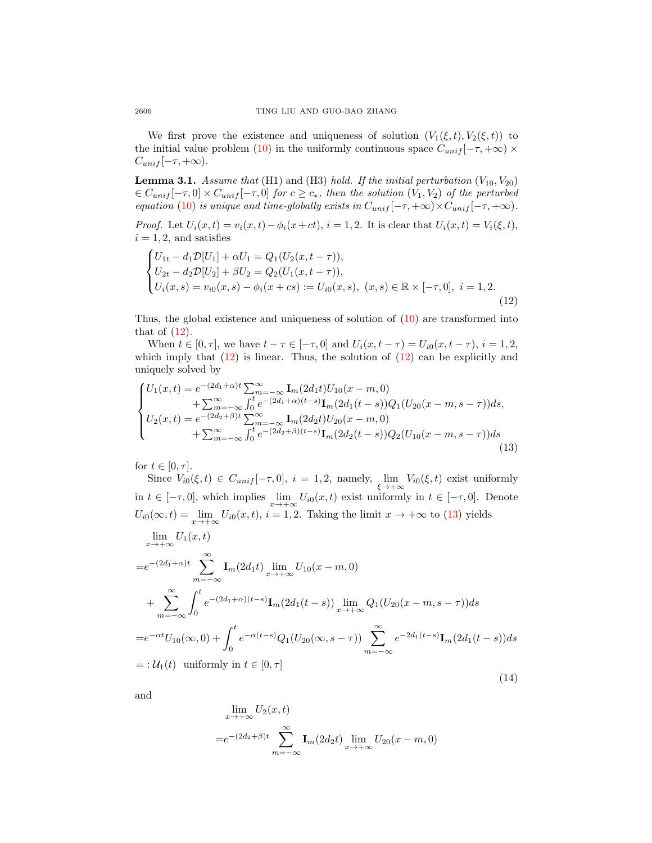We first prove the existence and uniqueness of solution  $(V_1(\xi, t), V_2(\xi, t))$  to the initial value problem [\(10\)](#page-6-1) in the uniformly continuous space  $C_{unif}[-\tau, +\infty) \times$  $C_{unif}[-\tau,+\infty).$ 

<span id="page-7-3"></span>**Lemma 3.1.** Assume that (H1) and (H3) hold. If the initial perturbation  $(V_{10}, V_{20})$  $\in C_{unif}[-\tau,0] \times C_{unif}[-\tau,0]$  for  $c \geq c_*$ , then the solution  $(V_1, V_2)$  of the perturbed equation [\(10\)](#page-6-1) is unique and time-globally exists in  $C_{unif}[-\tau, +\infty) \times C_{unif}[-\tau, +\infty)$ .

*Proof.* Let  $U_i(x,t) = v_i(x,t) - \phi_i(x+ct), i = 1, 2$ . It is clear that  $U_i(x,t) = V_i(\xi, t)$ ,  $i = 1, 2$ , and satisfies

<span id="page-7-0"></span>
$$
\begin{cases}\nU_{1t} - d_1 \mathcal{D}[U_1] + \alpha U_1 = Q_1 (U_2(x, t - \tau)), \\
U_{2t} - d_2 \mathcal{D}[U_2] + \beta U_2 = Q_2 (U_1(x, t - \tau)), \\
U_i(x, s) = v_{i0}(x, s) - \phi_i(x + cs) := U_{i0}(x, s), \ (x, s) \in \mathbb{R} \times [-\tau, 0], \ i = 1, 2.\n\end{cases}
$$
\n(12)

Thus, the global existence and uniqueness of solution of [\(10\)](#page-6-1) are transformed into that of  $(12)$ .

When  $t \in [0, \tau]$ , we have  $t - \tau \in [-\tau, 0]$  and  $U_i(x, t - \tau) = U_{i0}(x, t - \tau)$ ,  $i = 1, 2$ , which imply that  $(12)$  is linear. Thus, the solution of  $(12)$  can be explicitly and uniquely solved by

$$
\begin{cases}\nU_{1}(x,t) = e^{-(2d_{1}+\alpha)t} \sum_{m=-\infty}^{\infty} \mathbf{I}_{m}(2d_{1}t) U_{10}(x-m,0) \\
\quad + \sum_{m=-\infty}^{\infty} \int_{0}^{t} e^{-(2d_{1}+\alpha)(t-s)} \mathbf{I}_{m}(2d_{1}(t-s)) Q_{1}(U_{20}(x-m,s-\tau)) ds, \\
U_{2}(x,t) = e^{-(2d_{2}+\beta)t} \sum_{m=-\infty}^{\infty} \mathbf{I}_{m}(2d_{2}t) U_{20}(x-m,0) \\
\quad + \sum_{m=-\infty}^{\infty} \int_{0}^{t} e^{-(2d_{2}+\beta)(t-s)} \mathbf{I}_{m}(2d_{2}(t-s)) Q_{2}(U_{10}(x-m,s-\tau)) ds\n\end{cases} (13)
$$

for  $t \in [0, \tau]$ .

<span id="page-7-1"></span>Since  $V_{i0}(\xi, t) \in C_{unif}[-\tau, 0], i = 1, 2$ , namely,  $\lim_{\xi \to +\infty} V_{i0}(\xi, t)$  exist uniformly in  $t \in [-\tau, 0]$ , which implies  $\lim_{x \to +\infty} U_{i0}(x, t)$  exist uniformly in  $t \in [-\tau, 0]$ . Denote  $U_{i0}(\infty, t) = \lim_{x \to +\infty} U_{i0}(x, t), i = 1, 2$ . Taking the limit  $x \to +\infty$  to [\(13\)](#page-7-1) yields

$$
\lim_{x \to +\infty} U_1(x,t)
$$
\n
$$
= e^{-(2d_1 + \alpha)t} \sum_{m=-\infty}^{\infty} \mathbf{I}_m(2d_1t) \lim_{x \to +\infty} U_{10}(x - m, 0)
$$
\n
$$
+ \sum_{m=-\infty}^{\infty} \int_0^t e^{-(2d_1 + \alpha)(t-s)} \mathbf{I}_m(2d_1(t-s)) \lim_{x \to +\infty} Q_1(U_{20}(x - m, s - \tau)) ds
$$
\n
$$
= e^{-\alpha t} U_{10}(\infty, 0) + \int_0^t e^{-\alpha(t-s)} Q_1(U_{20}(\infty, s - \tau)) \sum_{m=-\infty}^{\infty} e^{-2d_1(t-s)} \mathbf{I}_m(2d_1(t-s)) ds
$$
\n
$$
=: \mathcal{U}_1(t) \text{ uniformly in } t \in [0, \tau]
$$
\n(14)

and

<span id="page-7-2"></span>
$$
\lim_{x \to +\infty} U_2(x,t)
$$
  
= $e^{-(2d_2+\beta)t} \sum_{m=-\infty}^{\infty} \mathbf{I}_m(2d_2t) \lim_{x \to +\infty} U_{20}(x-m,0)$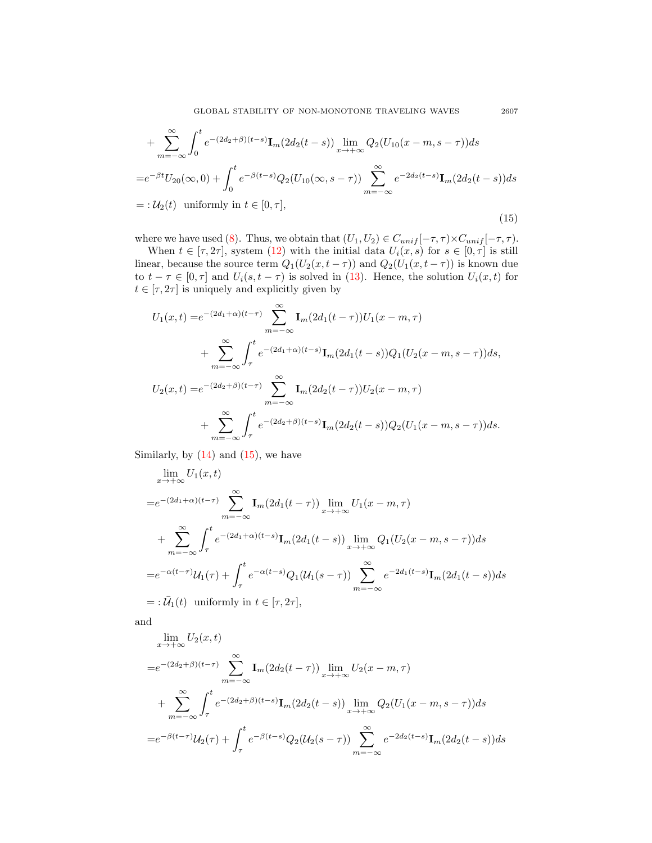GLOBAL STABILITY OF NON-MONOTONE TRAVELING WAVES 2607

+ 
$$
\sum_{m=-\infty}^{\infty} \int_{0}^{t} e^{-(2d_{2}+\beta)(t-s)} \mathbf{I}_{m}(2d_{2}(t-s)) \lim_{x \to +\infty} Q_{2}(U_{10}(x-m, s-\tau)) ds
$$
  
\n= 
$$
e^{-\beta t} U_{20}(\infty, 0) + \int_{0}^{t} e^{-\beta(t-s)} Q_{2}(U_{10}(\infty, s-\tau)) \sum_{m=-\infty}^{\infty} e^{-2d_{2}(t-s)} \mathbf{I}_{m}(2d_{2}(t-s)) ds
$$
  
\n= 
$$
: U_{2}(t) \text{ uniformly in } t \in [0, \tau],
$$
\n(15)

where we have used [\(8\)](#page-3-2). Thus, we obtain that  $(U_1, U_2) \in C_{unif}[-\tau, \tau) \times C_{unif}[-\tau, \tau)$ .

When  $t \in [\tau, 2\tau]$ , system [\(12\)](#page-7-0) with the initial data  $U_i(x, s)$  for  $s \in [0, \tau]$  is still linear, because the source term  $Q_1(U_2(x, t - \tau))$  and  $Q_2(U_1(x, t - \tau))$  is known due to  $t - \tau \in [0, \tau]$  and  $U_i(s, t - \tau)$  is solved in [\(13\)](#page-7-1). Hence, the solution  $U_i(x, t)$  for  $t\in [\tau, 2\tau]$  is uniquely and explicitly given by

$$
U_1(x,t) = e^{-(2d_1+\alpha)(t-\tau)} \sum_{m=-\infty}^{\infty} \mathbf{I}_m(2d_1(t-\tau))U_1(x-m,\tau)
$$
  
+ 
$$
\sum_{m=-\infty}^{\infty} \int_{\tau}^{t} e^{-(2d_1+\alpha)(t-s)} \mathbf{I}_m(2d_1(t-s))Q_1(U_2(x-m,s-\tau))ds,
$$
  

$$
U_2(x,t) = e^{-(2d_2+\beta)(t-\tau)} \sum_{m=-\infty}^{\infty} \mathbf{I}_m(2d_2(t-\tau))U_2(x-m,\tau)
$$
  
+ 
$$
\sum_{m=-\infty}^{\infty} \int_{\tau}^{t} e^{-(2d_2+\beta)(t-s)} \mathbf{I}_m(2d_2(t-s))Q_2(U_1(x-m,s-\tau))ds.
$$

Similarly, by  $(14)$  and  $(15)$ , we have

$$
\lim_{x \to +\infty} U_1(x,t)
$$
\n
$$
= e^{-(2d_1+\alpha)(t-\tau)} \sum_{m=-\infty}^{\infty} \mathbf{I}_m(2d_1(t-\tau)) \lim_{x \to +\infty} U_1(x-m,\tau)
$$
\n
$$
+ \sum_{m=-\infty}^{\infty} \int_{\tau}^{t} e^{-(2d_1+\alpha)(t-s)} \mathbf{I}_m(2d_1(t-s)) \lim_{x \to +\infty} Q_1(U_2(x-m,s-\tau)) ds
$$
\n
$$
= e^{-\alpha(t-\tau)} \mathcal{U}_1(\tau) + \int_{\tau}^{t} e^{-\alpha(t-s)} Q_1(\mathcal{U}_1(s-\tau)) \sum_{m=-\infty}^{\infty} e^{-2d_1(t-s)} \mathbf{I}_m(2d_1(t-s)) ds
$$
\n
$$
=: \overline{\mathcal{U}}_1(t) \text{ uniformly in } t \in [\tau, 2\tau],
$$

and

$$
\lim_{x \to +\infty} U_2(x,t)
$$
\n
$$
= e^{-(2d_2+\beta)(t-\tau)} \sum_{m=-\infty}^{\infty} \mathbf{I}_m(2d_2(t-\tau)) \lim_{x \to +\infty} U_2(x-m,\tau)
$$
\n
$$
+ \sum_{m=-\infty}^{\infty} \int_{\tau}^{t} e^{-(2d_2+\beta)(t-s)} \mathbf{I}_m(2d_2(t-s)) \lim_{x \to +\infty} Q_2(U_1(x-m,s-\tau))ds
$$
\n
$$
= e^{-\beta(t-\tau)} U_2(\tau) + \int_{\tau}^{t} e^{-\beta(t-s)} Q_2(U_2(s-\tau)) \sum_{m=-\infty}^{\infty} e^{-2d_2(t-s)} \mathbf{I}_m(2d_2(t-s))ds
$$

<span id="page-8-0"></span>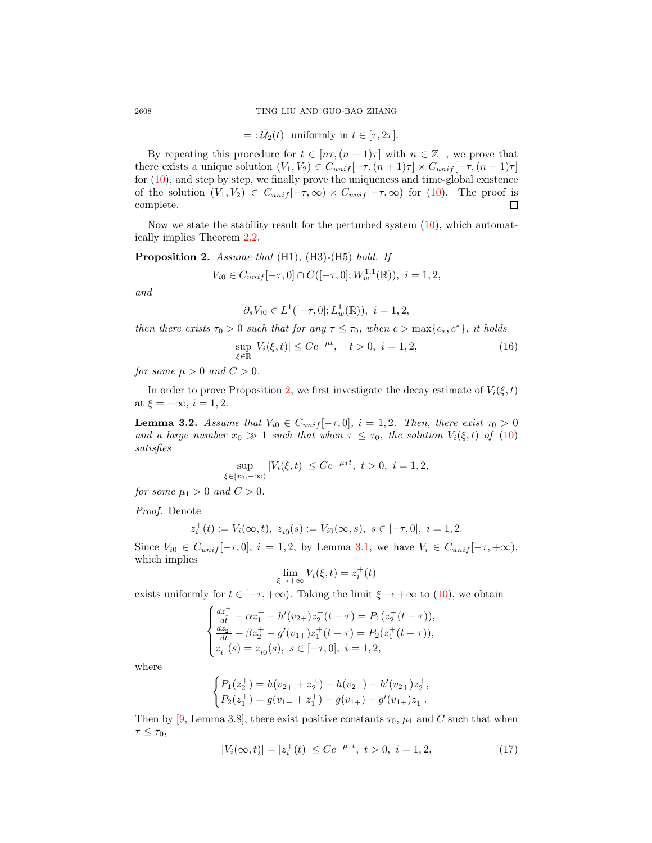$$
=:\bar{U}_2(t) \text{ uniformly in } t \in [\tau, 2\tau].
$$

By repeating this procedure for  $t \in [n\tau, (n+1)\tau]$  with  $n \in \mathbb{Z}_+$ , we prove that there exists a unique solution  $(V_1, V_2) \in C_{unif}[-\tau, (n+1)\tau] \times C_{unif}[-\tau, (n+1)\tau]$ for [\(10\)](#page-6-1), and step by step, we finally prove the uniqueness and time-global existence of the solution  $(V_1, V_2) \in C_{unif}[-\tau, \infty) \times C_{unif}[-\tau, \infty)$  for [\(10\)](#page-6-1). The proof is complete.  $\Box$ 

Now we state the stability result for the perturbed system [\(10\)](#page-6-1), which automatically implies Theorem [2.2.](#page-6-0)

<span id="page-9-0"></span>Proposition 2. Assume that (H1), (H3)-(H5) hold. If

$$
V_{i0} \in C_{unif}[-\tau, 0] \cap C([-\tau, 0]; W_w^{1,1}(\mathbb{R})), \ i = 1, 2,
$$

and

<span id="page-9-3"></span>
$$
\partial_s V_{i0} \in L^1([-\tau,0];L^1_w(\mathbb{R})), \ i = 1,2,
$$

then there exists  $\tau_0 > 0$  such that for any  $\tau \leq \tau_0$ , when  $c > \max\{c_*, c^*\}$ , it holds

$$
\sup_{\xi \in \mathbb{R}} |V_i(\xi, t)| \le Ce^{-\mu t}, \quad t > 0, \ i = 1, 2,
$$
\n(16)

for some  $\mu > 0$  and  $C > 0$ .

In order to prove Proposition [2,](#page-9-0) we first investigate the decay estimate of  $V_i(\xi, t)$ at  $\xi = +\infty$ ,  $i = 1, 2$ .

<span id="page-9-2"></span>**Lemma 3.2.** Assume that  $V_{i0} \in C_{unif}[-\tau,0], i = 1,2$ . Then, there exist  $\tau_0 > 0$ and a large number  $x_0 \gg 1$  such that when  $\tau \leq \tau_0$ , the solution  $V_i(\xi, t)$  of  $(10)$ satisfies

$$
\sup_{\xi \in [x_0, +\infty)} |V_i(\xi, t)| \le Ce^{-\mu_1 t}, \ t > 0, \ i = 1, 2,
$$

for some  $\mu_1 > 0$  and  $C > 0$ .

Proof. Denote

$$
z_i^+(t) := V_i(\infty, t), \ z_{i0}^+(s) := V_{i0}(\infty, s), \ s \in [-\tau, 0], \ i = 1, 2.
$$

Since  $V_{i0} \in C_{unif}[-\tau,0], i = 1,2$ , by Lemma [3.1,](#page-7-3) we have  $V_i \in C_{unif}[-\tau,+\infty)$ , which implies

$$
\lim_{\xi \to +\infty} V_i(\xi, t) = z_i^+(t)
$$

exists uniformly for  $t \in [-\tau, +\infty)$ . Taking the limit  $\xi \to +\infty$  to [\(10\)](#page-6-1), we obtain

$$
\begin{cases} \frac{dz_1^+}{dt} + \alpha z_1^+ - h'(v_{2+})z_2^+(t-\tau) = P_1(z_2^+(t-\tau)),\\ \frac{dz_2^+}{dt} + \beta z_2^+ - g'(v_{1+})z_1^+(t-\tau) = P_2(z_1^+(t-\tau)),\\ z_i^+(s) = z_{i0}^+(s), \ s \in [-\tau, 0], \ i = 1, 2, \end{cases}
$$

where

$$
\begin{cases} P_1(z_2^+) = h(v_{2+} + z_2^+) - h(v_{2+}) - h'(v_{2+})z_2^+, \\ P_2(z_1^+) = g(v_{1+} + z_1^+) - g(v_{1+}) - g'(v_{1+})z_1^+.\end{cases}
$$

Then by [\[9,](#page-18-2) Lemma 3.8], there exist positive constants  $\tau_0$ ,  $\mu_1$  and C such that when  $\tau \leq \tau_0$ ,

<span id="page-9-1"></span>
$$
|V_i(\infty, t)| = |z_i^+(t)| \le Ce^{-\mu_1 t}, \ t > 0, \ i = 1, 2,
$$
\n
$$
(17)
$$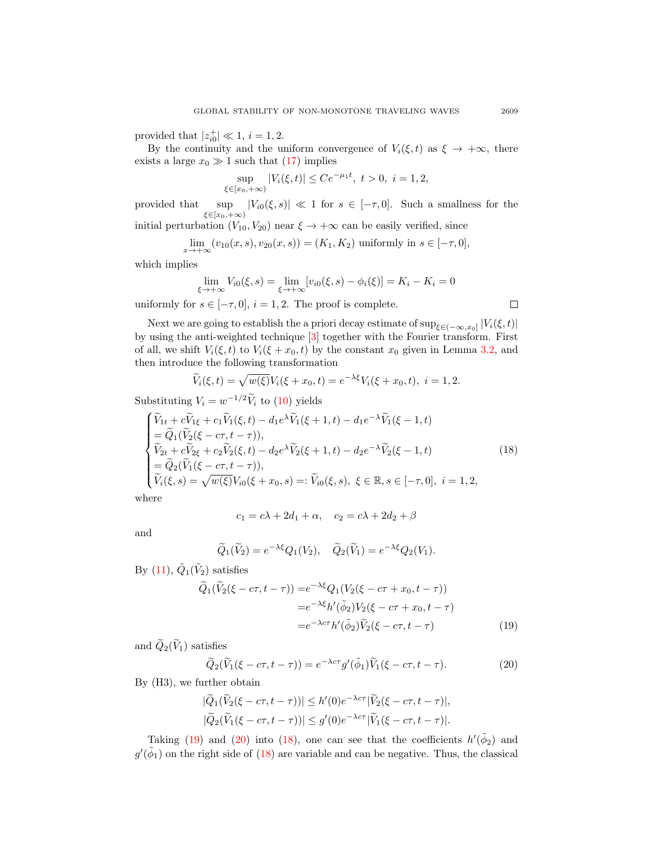provided that  $|z_{i0}^+| \ll 1, i = 1, 2$ .

By the continuity and the uniform convergence of  $V_i(\xi, t)$  as  $\xi \to +\infty$ , there exists a large  $x_0 \gg 1$  such that [\(17\)](#page-9-1) implies

$$
\sup_{\xi \in [x_0, +\infty)} |V_i(\xi, t)| \le Ce^{-\mu_1 t}, \ t > 0, \ i = 1, 2,
$$

provided that  $\sup_{\xi \in [x_0, +\infty)} |V_{i0}(\xi, s)| \ll 1$  for  $s \in [-\tau, 0]$ . Such a smallness for the

initial perturbation  $(V_{10}, V_{20})$  near  $\xi \to +\infty$  can be easily verified, since

$$
\lim_{x \to +\infty} (v_{10}(x, s), v_{20}(x, s)) = (K_1, K_2) \text{ uniformly in } s \in [-\tau, 0],
$$

which implies

$$
\lim_{\xi \to +\infty} V_{i0}(\xi, s) = \lim_{\xi \to +\infty} [v_{i0}(\xi, s) - \phi_i(\xi)] = K_i - K_i = 0
$$
\nor

\n
$$
\text{or}
$$
\n
$$
\lim_{\xi \to +\infty} V_{i0}(\xi, s) = \lim_{\xi \to +\infty} [v_{i0}(\xi, s) - \phi_i(\xi)] = K_i - K_i = 0
$$

uniformly for  $s \in [-\tau, 0], i = 1, 2$ . The proof is complete.

Next we are going to establish the a priori decay estimate of  $\sup_{\xi \in (-\infty, x_0]} |V_i(\xi, t)|$ by using the anti-weighted technique [\[3\]](#page-18-11) together with the Fourier transform. First of all, we shift  $V_i(\xi, t)$  to  $V_i(\xi + x_0, t)$  by the constant  $x_0$  given in Lemma [3.2,](#page-9-2) and then introduce the following transformation

$$
\widetilde{V}_i(\xi, t) = \sqrt{w(\xi)} V_i(\xi + x_0, t) = e^{-\lambda \xi} V_i(\xi + x_0, t), \quad i = 1, 2.
$$

Substituting  $V_i = w^{-1/2} \tilde{V}_i$  to [\(10\)](#page-6-1) yields

$$
\begin{cases}\n\widetilde{V}_{1t} + c\widetilde{V}_{1\xi} + c_1 \widetilde{V}_1(\xi, t) - d_1 e^{\lambda} \widetilde{V}_1(\xi + 1, t) - d_1 e^{-\lambda} \widetilde{V}_1(\xi - 1, t) \\
= \widetilde{Q}_1(\widetilde{V}_2(\xi - c\tau, t - \tau)), \\
\widetilde{V}_{2t} + c\widetilde{V}_{2\xi} + c_2 \widetilde{V}_2(\xi, t) - d_2 e^{\lambda} \widetilde{V}_2(\xi + 1, t) - d_2 e^{-\lambda} \widetilde{V}_2(\xi - 1, t) \\
= \widetilde{Q}_2(\widetilde{V}_1(\xi - c\tau, t - \tau)), \\
\widetilde{V}_i(\xi, s) = \sqrt{w(\xi)} V_{i0}(\xi + x_0, s) =: \widetilde{V}_{i0}(\xi, s), \ \xi \in \mathbb{R}, s \in [-\tau, 0], \ i = 1, 2,\n\end{cases}
$$
\n(18)

where

<span id="page-10-0"></span>
$$
c_1 = c\lambda + 2d_1 + \alpha, \quad c_2 = c\lambda + 2d_2 + \beta
$$

and

$$
\widetilde{Q}_1(\widetilde{V}_2) = e^{-\lambda \xi} Q_1(V_2), \quad \widetilde{Q}_2(\widetilde{V}_1) = e^{-\lambda \xi} Q_2(V_1).
$$

By [\(11\)](#page-6-2),  $\tilde{Q}_1(\tilde{V}_2)$  satisfies

$$
\widetilde{Q}_1(\widetilde{V}_2(\xi - c\tau, t - \tau)) = e^{-\lambda\xi} Q_1(V_2(\xi - c\tau + x_0, t - \tau))
$$

$$
= e^{-\lambda\xi} h'(\widetilde{\phi}_2) V_2(\xi - c\tau + x_0, t - \tau)
$$

$$
= e^{-\lambda c\tau} h'(\widetilde{\phi}_2) \widetilde{V}_2(\xi - c\tau, t - \tau)
$$
(19)

and  $\widetilde{Q}_2(\widetilde{V}_1)$  satisfies<br> $\widetilde{Q}_2(\widetilde{V}_1)$ 

<span id="page-10-1"></span>
$$
\widetilde{Q}_2(\widetilde{V}_1(\xi - c\tau, t - \tau)) = e^{-\lambda c\tau} g'(\widetilde{\phi}_1) \widetilde{V}_1(\xi - c\tau, t - \tau).
$$
\n(20)

By (H3), we further obtain

$$
\begin{aligned} |\widetilde{Q}_1(\widetilde{V}_2(\xi - c\tau, t - \tau))| &\leq h'(0)e^{-\lambda c\tau} |\widetilde{V}_2(\xi - c\tau, t - \tau)|, \\ |\widetilde{Q}_2(\widetilde{V}_1(\xi - c\tau, t - \tau))| &\leq g'(0)e^{-\lambda c\tau} |\widetilde{V}_1(\xi - c\tau, t - \tau)|. \end{aligned}
$$

Taking [\(19\)](#page-10-0) and [\(20\)](#page-10-1) into [\(18\)](#page-10-2), one can see that the coefficients  $h'(\tilde{\phi}_2)$  and  $g'(\tilde{\phi}_1)$  on the right side of [\(18\)](#page-10-2) are variable and can be negative. Thus, the classical

<span id="page-10-2"></span> $\Box$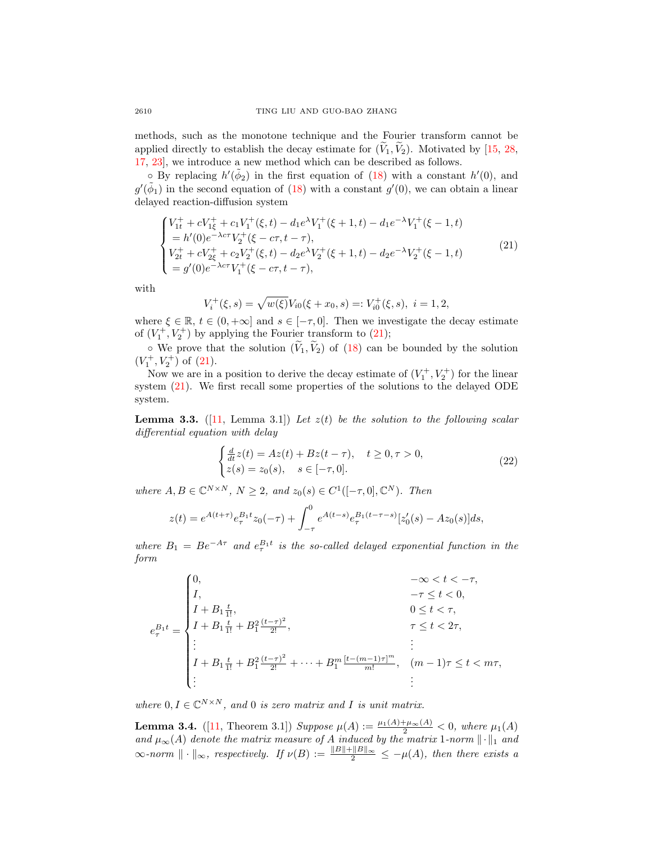methods, such as the monotone technique and the Fourier transform cannot be applied directly to establish the decay estimate for  $(\tilde{V}_1, \tilde{V}_2)$ . Motivated by [\[15,](#page-18-12) [28,](#page-19-8) [17,](#page-18-13) [23\]](#page-19-9), we introduce a new method which can be described as follows.

 $\circ$  By replacing  $h'(\tilde{\phi}_2)$  in the first equation of [\(18\)](#page-10-2) with a constant  $h'(0)$ , and  $g'(\tilde{\phi}_1)$  in the second equation of [\(18\)](#page-10-2) with a constant  $g'(0)$ , we can obtain a linear delayed reaction-diffusion system

$$
\begin{cases}\nV_{1t}^{+} + cV_{1\xi}^{+} + c_{1}V_{1}^{+}(\xi, t) - d_{1}e^{\lambda}V_{1}^{+}(\xi + 1, t) - d_{1}e^{-\lambda}V_{1}^{+}(\xi - 1, t) \\
= h'(0)e^{-\lambda c\tau}V_{2}^{+}(\xi - c\tau, t - \tau), \\
V_{2t}^{+} + cV_{2\xi}^{+} + c_{2}V_{2}^{+}(\xi, t) - d_{2}e^{\lambda}V_{2}^{+}(\xi + 1, t) - d_{2}e^{-\lambda}V_{2}^{+}(\xi - 1, t) \\
= g'(0)e^{-\lambda c\tau}V_{1}^{+}(\xi - c\tau, t - \tau),\n\end{cases}
$$
\n(21)

with

e

<span id="page-11-0"></span>
$$
V_i^+(\xi, s) = \sqrt{w(\xi)} V_{i0}(\xi + x_0, s) =: V_{i0}^+(\xi, s), \ i = 1, 2,
$$

where  $\xi \in \mathbb{R}$ ,  $t \in (0, +\infty]$  and  $s \in [-\tau, 0]$ . Then we investigate the decay estimate of  $(V_1^+, V_2^+)$  by applying the Fourier transform to  $(21)$ ;

 $\circ$  We prove that the solution  $(\widetilde{V}_1, \widetilde{V}_2)$  of [\(18\)](#page-10-2) can be bounded by the solution  $(V_1^+, V_2^+)$  of  $(21)$ .

Now we are in a position to derive the decay estimate of  $(V_1^+, V_2^+)$  for the linear system [\(21\)](#page-11-0). We first recall some properties of the solutions to the delayed ODE system.

<span id="page-11-2"></span>**Lemma 3.3.** ([\[11,](#page-18-16) Lemma 3.1]) Let  $z(t)$  be the solution to the following scalar differential equation with delay

<span id="page-11-1"></span>
$$
\begin{cases}\n\frac{d}{dt}z(t) = Az(t) + Bz(t-\tau), & t \ge 0, \tau > 0, \\
z(s) = z_0(s), & s \in [-\tau, 0].\n\end{cases}
$$
\n(22)

where  $A, B \in \mathbb{C}^{N \times N}$ ,  $N \geq 2$ , and  $z_0(s) \in C^1([-\tau, 0], \mathbb{C}^N)$ . Then

$$
z(t) = e^{A(t+\tau)} e_{\tau}^{B_1 t} z_0(-\tau) + \int_{-\tau}^0 e^{A(t-s)} e_{\tau}^{B_1(t-\tau-s)} [z'_0(s) - Az_0(s)] ds,
$$

where  $B_1 = Be^{-A\tau}$  and  $e^{B_1t}$  is the so-called delayed exponential function in the form

$$
e_{\tau}^{B_1 t} = \begin{cases} 0, & -\infty < t < -\tau, \\ I, & -\tau \le t < 0, \\ I + B_1 \frac{t}{1!}, & 0 \le t < \tau, \\ I + B_1 \frac{t}{1!} + B_1^2 \frac{(t-\tau)^2}{2!}, & \tau \le t < 2\tau, \\ \vdots & \vdots \\ I + B_1 \frac{t}{1!} + B_1^2 \frac{(t-\tau)^2}{2!} + \dots + B_1^m \frac{[t - (m-1)\tau]^m}{m!}, & (m-1)\tau \le t < m\tau, \\ \vdots & \vdots \end{cases}
$$

where  $0, I \in \mathbb{C}^{N \times N}$ , and 0 is zero matrix and I is unit matrix.

<span id="page-11-3"></span>**Lemma 3.4.** ([\[11,](#page-18-16) Theorem 3.1]) Suppose  $\mu(A) := \frac{\mu_1(A) + \mu_\infty(A)}{2} < 0$ , where  $\mu_1(A)$ and  $\mu_{\infty}(A)$  denote the matrix measure of A induced by the matrix 1-norm  $\|\cdot\|_1$  and  $\infty$ -norm  $\|\cdot\|_{\infty}$ , respectively. If  $\nu(B) := \frac{\|B\| + \|B\|_{\infty}}{2} \leq -\mu(A)$ , then there exists a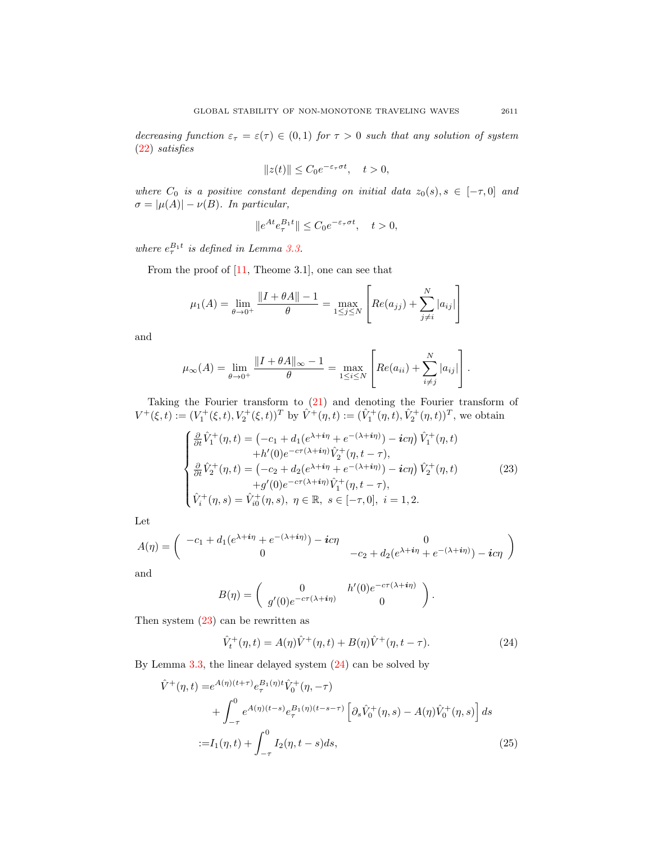decreasing function  $\varepsilon_{\tau} = \varepsilon(\tau) \in (0,1)$  for  $\tau > 0$  such that any solution of system [\(22\)](#page-11-1) satisfies

$$
||z(t)|| \le C_0 e^{-\varepsilon_\tau \sigma t}, \quad t > 0,
$$

where  $C_0$  is a positive constant depending on initial data  $z_0(s)$ ,  $s \in [-\tau, 0]$  and  $\sigma = |\mu(A)| - \nu(B)$ . In particular,

$$
||e^{At}e^{B_1t}_{\tau}|| \leq C_0 e^{-\varepsilon_{\tau}\sigma t}, \quad t > 0,
$$

where  $e_{\tau}^{B_1 t}$  is defined in Lemma [3.3.](#page-11-2)

From the proof of [\[11,](#page-18-16) Theome 3.1], one can see that

$$
\mu_1(A) = \lim_{\theta \to 0^+} \frac{\|I + \theta A\| - 1}{\theta} = \max_{1 \le j \le N} \left[ Re(a_{jj}) + \sum_{j \ne i}^N |a_{ij}| \right]
$$

and

$$
\mu_{\infty}(A) = \lim_{\theta \to 0^+} \frac{\|I + \theta A\|_{\infty} - 1}{\theta} = \max_{1 \le i \le N} \left[ Re(a_{ii}) + \sum_{i \ne j}^N |a_{ij}| \right].
$$

Taking the Fourier transform to [\(21\)](#page-11-0) and denoting the Fourier transform of  $V^+(\xi, t) := (V_1^+(\xi, t), V_2^+(\xi, t))^T$  by  $\hat{V}^+(\eta, t) := (\hat{V}_1^+(\eta, t), \hat{V}_2^+(\eta, t))^T$ , we obtain

$$
\begin{cases}\n\frac{\partial}{\partial t}\hat{V}_{1}^{+}(\eta,t) = \left(-c_{1} + d_{1}(e^{\lambda + i\eta} + e^{-(\lambda + i\eta)}) - i c\eta\right)\hat{V}_{1}^{+}(\eta,t) \\
+ h'(0)e^{-c\tau(\lambda + i\eta)}\hat{V}_{2}^{+}(\eta,t-\tau), \\
\frac{\partial}{\partial t}\hat{V}_{2}^{+}(\eta,t) = \left(-c_{2} + d_{2}(e^{\lambda + i\eta} + e^{-(\lambda + i\eta)}) - i c\eta\right)\hat{V}_{2}^{+}(\eta,t) \\
+ g'(0)e^{-c\tau(\lambda + i\eta)}\hat{V}_{1}^{+}(\eta,t-\tau), \\
\hat{V}_{i}^{+}(\eta,s) = \hat{V}_{i0}^{+}(\eta,s), \ \eta \in \mathbb{R}, \ s \in [-\tau,0], \ i = 1,2.\n\end{cases}
$$
\n(23)

 $\overline{a}$ 

Let

$$
A(\eta) = \begin{pmatrix} -c_1 + d_1(e^{\lambda + i\eta} + e^{-(\lambda + i\eta)}) - ic\eta & 0\\ 0 & -c_2 + d_2(e^{\lambda + i\eta} + e^{-(\lambda + i\eta)}) - ic\eta \end{pmatrix}
$$

and

$$
B(\eta) = \begin{pmatrix} 0 & h'(0)e^{-c\tau(\lambda + i\eta)} \\ g'(0)e^{-c\tau(\lambda + i\eta)} & 0 \end{pmatrix}
$$

Then system [\(23\)](#page-12-0) can be rewritten as

$$
\hat{V}_t^+(\eta, t) = A(\eta)\hat{V}^+(\eta, t) + B(\eta)\hat{V}^+(\eta, t - \tau).
$$
\n(24)

<span id="page-12-2"></span><span id="page-12-1"></span><span id="page-12-0"></span>.

By Lemma [3.3,](#page-11-2) the linear delayed system [\(24\)](#page-12-1) can be solved by

$$
\hat{V}^{+}(\eta,t) = e^{A(\eta)(t+\tau)} e_{\tau}^{B_{1}(\eta)t} \hat{V}_{0}^{+}(\eta,-\tau) \n+ \int_{-\tau}^{0} e^{A(\eta)(t-s)} e_{\tau}^{B_{1}(\eta)(t-s-\tau)} \left[ \partial_{s} \hat{V}_{0}^{+}(\eta,s) - A(\eta) \hat{V}_{0}^{+}(\eta,s) \right] ds \n:= I_{1}(\eta,t) + \int_{-\tau}^{0} I_{2}(\eta,t-s) ds,
$$
\n(25)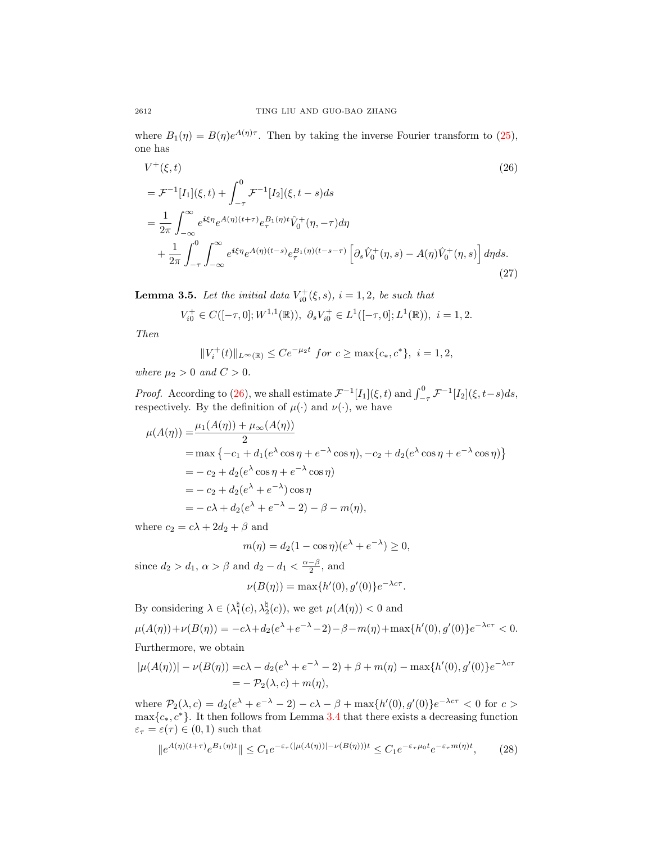where  $B_1(\eta) = B(\eta)e^{A(\eta)\tau}$ . Then by taking the inverse Fourier transform to [\(25\)](#page-12-2), one has

$$
V^{+}(\xi, t)
$$
\n
$$
= \mathcal{F}^{-1}[I_{1}](\xi, t) + \int_{-\tau}^{0} \mathcal{F}^{-1}[I_{2}](\xi, t - s)ds
$$
\n
$$
= \frac{1}{2\pi} \int_{-\infty}^{\infty} e^{i\xi\eta} e^{A(\eta)(t+\tau)} e_{\tau}^{B_{1}(\eta)t} \hat{V}_{0}^{+}(\eta, -\tau) d\eta
$$
\n
$$
+ \frac{1}{2\pi} \int_{-\tau}^{0} \int_{-\infty}^{\infty} e^{i\xi\eta} e^{A(\eta)(t-s)} e_{\tau}^{B_{1}(\eta)(t-s-\tau)} \left[ \partial_{s} \hat{V}_{0}^{+}(\eta, s) - A(\eta) \hat{V}_{0}^{+}(\eta, s) \right] d\eta ds.
$$
\n(27)

<span id="page-13-2"></span>**Lemma 3.5.** Let the initial data  $V_{i0}^{+}(\xi, s)$ ,  $i = 1, 2$ , be such that

<span id="page-13-0"></span>
$$
V_{i0}^+ \in C([-\tau, 0]; W^{1,1}(\mathbb{R})), \ \partial_s V_{i0}^+ \in L^1([-\tau, 0]; L^1(\mathbb{R})), \ i = 1, 2.
$$

Then

$$
||V_i^+(t)||_{L^{\infty}(\mathbb{R})} \le Ce^{-\mu_2 t} \text{ for } c \ge \max\{c_*, c^*\}, \ i = 1, 2,
$$

where  $\mu_2 > 0$  and  $C > 0$ .

*Proof.* According to [\(26\)](#page-13-0), we shall estimate  $\mathcal{F}^{-1}[I_1](\xi, t)$  and  $\int_{-\tau}^{0} \mathcal{F}^{-1}[I_2](\xi, t-s)ds$ , respectively. By the definition of  $\mu(\cdot)$  and  $\nu(\cdot)$ , we have

$$
\mu(A(\eta)) = \frac{\mu_1(A(\eta)) + \mu_{\infty}(A(\eta))}{2}
$$
  
= max { -c<sub>1</sub> + d<sub>1</sub>(e<sup>λ</sup> cos η + e<sup>-λ</sup> cos η), -c<sub>2</sub> + d<sub>2</sub>(e<sup>λ</sup> cos η + e<sup>-λ</sup> cos η)}  
= -c<sub>2</sub> + d<sub>2</sub>(e<sup>λ</sup> cos η + e<sup>-λ</sup> cos η)  
= -c<sub>2</sub> + d<sub>2</sub>(e<sup>λ</sup> + e<sup>-λ</sup>) cos η  
= - cλ + d<sub>2</sub>(e<sup>λ</sup> + e<sup>-λ</sup> - 2) - β - m(η),

where  $c_2 = c\lambda + 2d_2 + \beta$  and

$$
m(\eta) = d_2(1 - \cos \eta)(e^{\lambda} + e^{-\lambda}) \ge 0,
$$

since  $d_2 > d_1$ ,  $\alpha > \beta$  and  $d_2 - d_1 < \frac{\alpha - \beta}{2}$ , and

<span id="page-13-1"></span>
$$
\nu(B(\eta)) = \max\{h'(0), g'(0)\}e^{-\lambda c\tau}.
$$

By considering  $\lambda \in (\lambda_1^{\natural}(c), \lambda_2^{\natural}(c))$ , we get  $\mu(A(\eta)) < 0$  and  $\mu(A(\eta)) + \nu(B(\eta)) = -c\lambda + d_2(e^{\lambda} + e^{-\lambda} - 2) - \beta - m(\eta) + \max\{h'(0), g'(0)\}e^{-\lambda c \tau} < 0.$ 

Furthermore, we obtain

$$
|\mu(A(\eta))| - \nu(B(\eta)) = c\lambda - d_2(e^{\lambda} + e^{-\lambda} - 2) + \beta + m(\eta) - \max\{h'(0), g'(0)\}e^{-\lambda c\tau}
$$
  
= 
$$
-\mathcal{P}_2(\lambda, c) + m(\eta),
$$

where  $P_2(\lambda, c) = d_2(e^{\lambda} + e^{-\lambda} - 2) - c\lambda - \beta + \max\{h'(0), g'(0)\}e^{-\lambda c \tau} < 0$  for  $c >$  $\max\{c_*, c^*\}.$  It then follows from Lemma [3.4](#page-11-3) that there exists a decreasing function  $\varepsilon_{\tau} = \varepsilon(\tau) \in (0,1)$  such that

$$
\|e^{A(\eta)(t+\tau)}e^{B_1(\eta)t}\| \le C_1 e^{-\varepsilon_\tau(|\mu(A(\eta))|-\nu(B(\eta)))t} \le C_1 e^{-\varepsilon_\tau \mu_0 t}e^{-\varepsilon_\tau m(\eta)t},\tag{28}
$$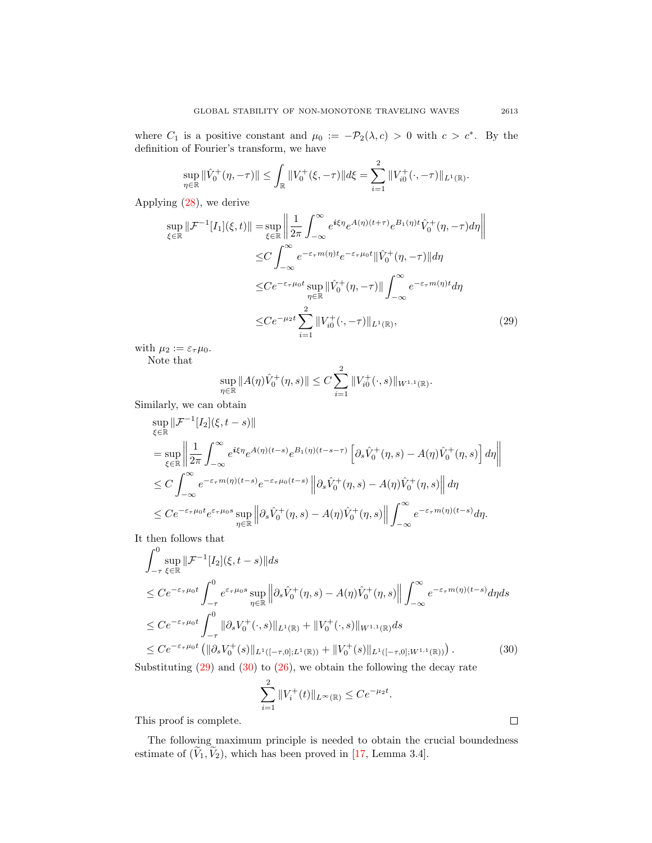where  $C_1$  is a positive constant and  $\mu_0 := -\mathcal{P}_2(\lambda, c) > 0$  with  $c > c^*$ . By the definition of Fourier's transform, we have

$$
\sup_{\eta \in \mathbb{R}} \|\hat{V}_0^+(\eta, -\tau)\| \le \int_{\mathbb{R}} \|V_0^+(\xi, -\tau)\| d\xi = \sum_{i=1}^2 \|V_{i0}^+(\cdot, -\tau)\|_{L^1(\mathbb{R})}.
$$

Applying [\(28\)](#page-13-1), we derive

$$
\sup_{\xi \in \mathbb{R}} \|\mathcal{F}^{-1}[I_1](\xi, t)\| = \sup_{\xi \in \mathbb{R}} \left\| \frac{1}{2\pi} \int_{-\infty}^{\infty} e^{i\xi \eta} e^{A(\eta)(t+\tau)} e^{B_1(\eta)t} \hat{V}_0^+(\eta, -\tau) d\eta \right\|
$$
  
\n
$$
\leq C \int_{-\infty}^{\infty} e^{-\varepsilon_{\tau} m(\eta)t} e^{-\varepsilon_{\tau} \mu_0 t} \|\hat{V}_0^+(\eta, -\tau)\| d\eta
$$
  
\n
$$
\leq C e^{-\varepsilon_{\tau} \mu_0 t} \sup_{\eta \in \mathbb{R}} \|\hat{V}_0^+(\eta, -\tau)\| \int_{-\infty}^{\infty} e^{-\varepsilon_{\tau} m(\eta)t} d\eta
$$
  
\n
$$
\leq C e^{-\mu_2 t} \sum_{i=1}^2 \|V_{i0}^+(\cdot, -\tau)\|_{L^1(\mathbb{R})}, \tag{29}
$$

with  $\mu_2 := \varepsilon_{\tau} \mu_0$ .

Note that

<span id="page-14-0"></span>
$$
\sup_{\eta \in \mathbb{R}} \|A(\eta)\hat{V}_0^+(\eta, s)\| \le C \sum_{i=1}^2 \|V_{i0}^+(\cdot, s)\|_{W^{1,1}(\mathbb{R})}.
$$

Similarly, we can obtain

$$
\sup_{\xi \in \mathbb{R}} \|\mathcal{F}^{-1}[I_2](\xi, t-s)\|
$$
\n
$$
= \sup_{\xi \in \mathbb{R}} \left\| \frac{1}{2\pi} \int_{-\infty}^{\infty} e^{i\xi \eta} e^{A(\eta)(t-s)} e^{B_1(\eta)(t-s-\tau)} \left[ \partial_s \hat{V}_0^+(\eta, s) - A(\eta) \hat{V}_0^+(\eta, s) \right] d\eta \right\|
$$
\n
$$
\leq C \int_{-\infty}^{\infty} e^{-\varepsilon_{\tau} m(\eta)(t-s)} e^{-\varepsilon_{\tau} \mu_0(t-s)} \left\| \partial_s \hat{V}_0^+(\eta, s) - A(\eta) \hat{V}_0^+(\eta, s) \right\| d\eta
$$
\n
$$
\leq C e^{-\varepsilon_{\tau} \mu_0 t} e^{\varepsilon_{\tau} \mu_0 s} \sup_{\eta \in \mathbb{R}} \left\| \partial_s \hat{V}_0^+(\eta, s) - A(\eta) \hat{V}_0^+(\eta, s) \right\| \int_{-\infty}^{\infty} e^{-\varepsilon_{\tau} m(\eta)(t-s)} d\eta.
$$

It then follows that

$$
\int_{-\tau}^{0} \sup_{\xi \in \mathbb{R}} \|\mathcal{F}^{-1}[I_2](\xi, t - s)\| ds
$$
\n
$$
\leq C e^{-\varepsilon_{\tau} \mu_0 t} \int_{-\tau}^{0} e^{\varepsilon_{\tau} \mu_0 s} \sup_{\eta \in \mathbb{R}} \left\| \partial_s \hat{V}_0^+(\eta, s) - A(\eta) \hat{V}_0^+(\eta, s) \right\| \int_{-\infty}^{\infty} e^{-\varepsilon_{\tau} m(\eta)(t - s)} d\eta ds
$$
\n
$$
\leq C e^{-\varepsilon_{\tau} \mu_0 t} \int_{-\tau}^{0} \|\partial_s V_0^+(\cdot, s)\|_{L^1(\mathbb{R})} + \|V_0^+(\cdot, s)\|_{W^{1,1}(\mathbb{R})} ds
$$
\n
$$
\leq C e^{-\varepsilon_{\tau} \mu_0 t} \left( \|\partial_s V_0^+(s)\|_{L^1([-{\tau, 0}]; L^1(\mathbb{R}))} + \|V_0^+(s)\|_{L^1([-{\tau, 0}]; W^{1,1}(\mathbb{R}))} \right).
$$
\n(30)

Substituting  $(29)$  and  $(30)$  to  $(26)$ , we obtain the following the decay rate

$$
\sum_{i=1}^{2} \|V_i^+(t)\|_{L^{\infty}(\mathbb{R})} \le Ce^{-\mu_2 t}.
$$

This proof is complete.

The following maximum principle is needed to obtain the crucial boundedness estimate of  $(\widetilde{V}_1, \widetilde{V}_2)$ , which has been proved in [\[17,](#page-18-13) Lemma 3.4].

<span id="page-14-1"></span> $\Box$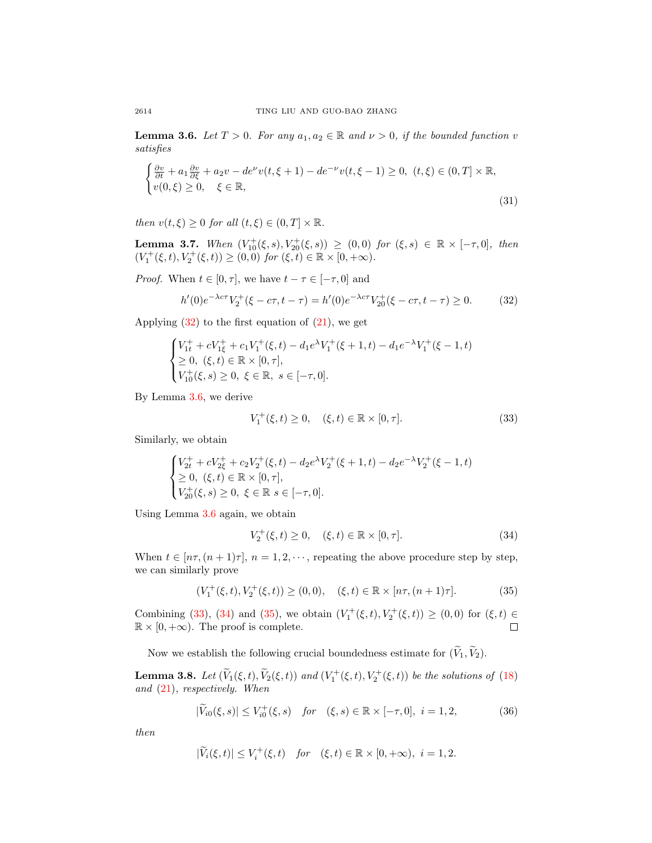<span id="page-15-1"></span>**Lemma 3.6.** Let  $T > 0$ . For any  $a_1, a_2 \in \mathbb{R}$  and  $\nu > 0$ , if the bounded function v satisfies

$$
\begin{cases} \frac{\partial v}{\partial t} + a_1 \frac{\partial v}{\partial \xi} + a_2 v - d e^{\nu} v(t, \xi + 1) - d e^{-\nu} v(t, \xi - 1) \ge 0, & (t, \xi) \in (0, T] \times \mathbb{R}, \\ v(0, \xi) \ge 0, & \xi \in \mathbb{R}, \end{cases}
$$
\n(31)

then  $v(t,\xi) \geq 0$  for all  $(t,\xi) \in (0,T] \times \mathbb{R}$ .

**Lemma 3.7.** When  $(V_{10}^{+}(\xi, s), V_{20}^{+}(\xi, s)) \geq (0, 0)$  for  $(\xi, s) \in \mathbb{R} \times [-\tau, 0]$ , then  $(V_1^+(\xi, t), V_2^+(\xi, t)) \ge (0, 0)$  for  $(\xi, t) \in \mathbb{R} \times [0, +\infty)$ .

*Proof.* When  $t \in [0, \tau]$ , we have  $t - \tau \in [-\tau, 0]$  and

$$
h'(0)e^{-\lambda c\tau}V_2^+(\xi - c\tau, t - \tau) = h'(0)e^{-\lambda c\tau}V_{20}^+(\xi - c\tau, t - \tau) \ge 0.
$$
 (32)

Applying  $(32)$  to the first equation of  $(21)$ , we get

$$
\begin{cases} V_{1t}^+ + cV_{1\xi}^+ + c_1V_1^+(\xi, t) - d_1e^{\lambda}V_1^+(\xi + 1, t) - d_1e^{-\lambda}V_1^+(\xi - 1, t) \\ \ge 0, \ (\xi, t) \in \mathbb{R} \times [0, \tau], \\ V_{10}^+(\xi, s) \ge 0, \ \xi \in \mathbb{R}, \ s \in [-\tau, 0]. \end{cases}
$$

By Lemma [3.6,](#page-15-1) we derive

<span id="page-15-2"></span><span id="page-15-0"></span>
$$
V_1^+(\xi, t) \ge 0, \quad (\xi, t) \in \mathbb{R} \times [0, \tau]. \tag{33}
$$

Similarly, we obtain

$$
\begin{cases}\nV_{2t}^+ + cV_{2\xi}^+ + c_2V_2^+(\xi, t) - d_2e^{\lambda}V_2^+(\xi + 1, t) - d_2e^{-\lambda}V_2^+(\xi - 1, t) \\
\ge 0, \ (\xi, t) \in \mathbb{R} \times [0, \tau], \\
V_{20}^+(\xi, s) \ge 0, \ \xi \in \mathbb{R} \ s \in [-\tau, 0].\n\end{cases}
$$

Using Lemma [3.6](#page-15-1) again, we obtain

<span id="page-15-4"></span><span id="page-15-3"></span>
$$
V_2^+(\xi, t) \ge 0, \quad (\xi, t) \in \mathbb{R} \times [0, \tau]. \tag{34}
$$

When  $t \in [n\tau, (n+1)\tau], n = 1, 2, \dots$ , repeating the above procedure step by step, we can similarly prove

$$
(V_1^+(\xi, t), V_2^+(\xi, t)) \ge (0, 0), \quad (\xi, t) \in \mathbb{R} \times [n\tau, (n+1)\tau]. \tag{35}
$$

Combining [\(33\)](#page-15-2), [\(34\)](#page-15-3) and [\(35\)](#page-15-4), we obtain  $(V_1^+(\xi, t), V_2^+(\xi, t)) \ge (0, 0)$  for  $(\xi, t) \in$  $\mathbb{R} \times [0, +\infty)$ . The proof is complete.

Now we establish the following crucial boundedness estimate for  $(\widetilde{V}_1, \widetilde{V}_2)$ .

<span id="page-15-6"></span>**Lemma 3.8.** Let  $(\widetilde{V}_1(\xi, t), \widetilde{V}_2(\xi, t))$  and  $(V_1^+(\xi, t), V_2^+(\xi, t))$  be the solutions of [\(18\)](#page-10-2) and [\(21\)](#page-11-0), respectively. When

<span id="page-15-5"></span>
$$
|\widetilde{V}_{i0}(\xi, s)| \le V_{i0}^+(\xi, s) \quad \text{for} \quad (\xi, s) \in \mathbb{R} \times [-\tau, 0], \ i = 1, 2,\tag{36}
$$

then

$$
|\widetilde{V}_i(\xi,t)| \le V_i^+(\xi,t) \quad \text{for} \quad (\xi,t) \in \mathbb{R} \times [0,+\infty), \ i=1,2.
$$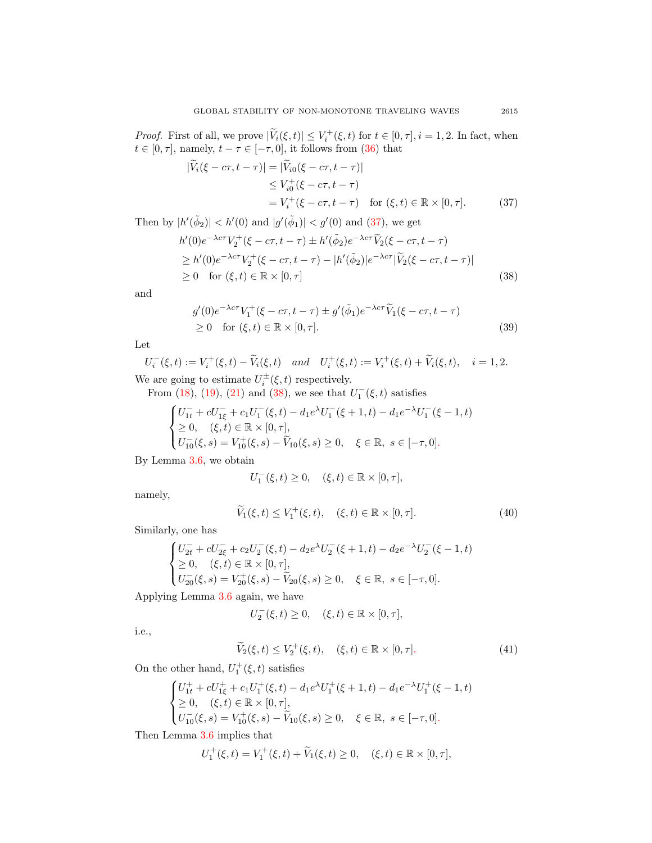*Proof.* First of all, we prove  $|\widetilde{V}_i(\xi, t)| \leq V_i^+(\xi, t)$  for  $t \in [0, \tau], i = 1, 2$ . In fact, when  $t \in [0, \tau]$ , namely,  $t - \tau \in [-\tau, 0]$ , it follows from [\(36\)](#page-15-5) that

<span id="page-16-0"></span>
$$
\begin{aligned} |\widetilde{V}_i(\xi - c\tau, t - \tau)| &= |\widetilde{V}_{i0}(\xi - c\tau, t - \tau)| \\ &\le V_{i0}^+(\xi - c\tau, t - \tau) \\ &= V_i^+(\xi - c\tau, t - \tau) \quad \text{for } (\xi, t) \in \mathbb{R} \times [0, \tau]. \end{aligned} \tag{37}
$$

Then by  $|h'(\tilde{\phi}_2)| < h'(0)$  and  $|g'(\tilde{\phi}_1)| < g'(0)$  and  $(37)$ , we get

$$
h'(0)e^{-\lambda c\tau}V_2^+(\xi - c\tau, t - \tau) \pm h'(\tilde{\phi}_2)e^{-\lambda c\tau}\tilde{V}_2(\xi - c\tau, t - \tau)
$$
  
\n
$$
\geq h'(0)e^{-\lambda c\tau}V_2^+(\xi - c\tau, t - \tau) - |h'(\tilde{\phi}_2)|e^{-\lambda c\tau}|\tilde{V}_2(\xi - c\tau, t - \tau)|
$$
  
\n
$$
\geq 0 \quad \text{for } (\xi, t) \in \mathbb{R} \times [0, \tau]
$$
 (38)

and

<span id="page-16-1"></span>
$$
g'(0)e^{-\lambda c\tau}V_1^+(\xi - c\tau, t - \tau) \pm g'(\tilde{\phi}_1)e^{-\lambda c\tau}\tilde{V}_1(\xi - c\tau, t - \tau)
$$
  
\n
$$
\geq 0 \quad \text{for } (\xi, t) \in \mathbb{R} \times [0, \tau].
$$
\n(39)

Let

$$
U_i^-(\xi, t) := V_i^+(\xi, t) - \widetilde{V}_i(\xi, t) \quad and \quad U_i^+(\xi, t) := V_i^+(\xi, t) + \widetilde{V}_i(\xi, t), \quad i = 1, 2.
$$
  
We are going to estimate  $U_i^{\pm}(\xi, t)$  respectively.

From [\(18\)](#page-10-2), [\(19\)](#page-10-0), [\(21\)](#page-11-0) and [\(38\)](#page-16-1), we see that  $U_1^-(\xi, t)$  satisfies

$$
\begin{cases}\nU_{1t}^- + cU_{1\xi}^- + c_1U_1^-(\xi, t) - d_1e^{\lambda}U_1^-(\xi + 1, t) - d_1e^{-\lambda}U_1^-(\xi - 1, t) \\
\ge 0, & (\xi, t) \in \mathbb{R} \times [0, \tau], \\
U_{10}^-(\xi, s) = V_{10}^+(\xi, s) - \widetilde{V}_{10}(\xi, s) \ge 0, & \xi \in \mathbb{R}, \ s \in [-\tau, 0].\n\end{cases}
$$

By Lemma [3.6,](#page-15-1) we obtain

<span id="page-16-2"></span>
$$
U_1^-(\xi,t) \ge 0, \quad (\xi,t) \in \mathbb{R} \times [0,\tau],
$$

namely,

$$
\widetilde{V}_1(\xi, t) \le V_1^+(\xi, t), \quad (\xi, t) \in \mathbb{R} \times [0, \tau]. \tag{40}
$$

Similarly, one has

$$
\begin{cases}\nU_{2t}^- + cU_{2\xi}^- + c_2U_2^-(\xi, t) - d_2e^{\lambda}U_2^-(\xi + 1, t) - d_2e^{-\lambda}U_2^-(\xi - 1, t) \\
\ge 0, & (\xi, t) \in \mathbb{R} \times [0, \tau], \\
U_{20}^-(\xi, s) = V_{20}^+(\xi, s) - \widetilde{V}_{20}(\xi, s) \ge 0, & \xi \in \mathbb{R}, \ s \in [-\tau, 0].\n\end{cases}
$$

Applying Lemma [3.6](#page-15-1) again, we have

<span id="page-16-3"></span>
$$
U_2^-(\xi,t)\geq 0,\quad (\xi,t)\in \mathbb{R}\times [0,\tau],
$$

i.e.,

$$
\widetilde{V}_2(\xi, t) \le V_2^+(\xi, t), \quad (\xi, t) \in \mathbb{R} \times [0, \tau]. \tag{41}
$$

On the other hand,  $U_1^+(\xi, t)$  satisfies

$$
\begin{cases}\nU_{1t}^+ + cU_{1\xi}^+ + c_1U_1^+(\xi, t) - d_1e^{\lambda}U_1^+(\xi + 1, t) - d_1e^{-\lambda}U_1^+(\xi - 1, t) \\
\ge 0, & (\xi, t) \in \mathbb{R} \times [0, \tau], \\
U_{10}^-(\xi, s) = V_{10}^+(\xi, s) - \widetilde{V}_{10}(\xi, s) \ge 0, & \xi \in \mathbb{R}, \ s \in [-\tau, 0].\n\end{cases}
$$

Then Lemma [3.6](#page-15-1) implies that

$$
U_1^+(\xi, t) = V_1^+(\xi, t) + \widetilde{V}_1(\xi, t) \ge 0, \quad (\xi, t) \in \mathbb{R} \times [0, \tau],
$$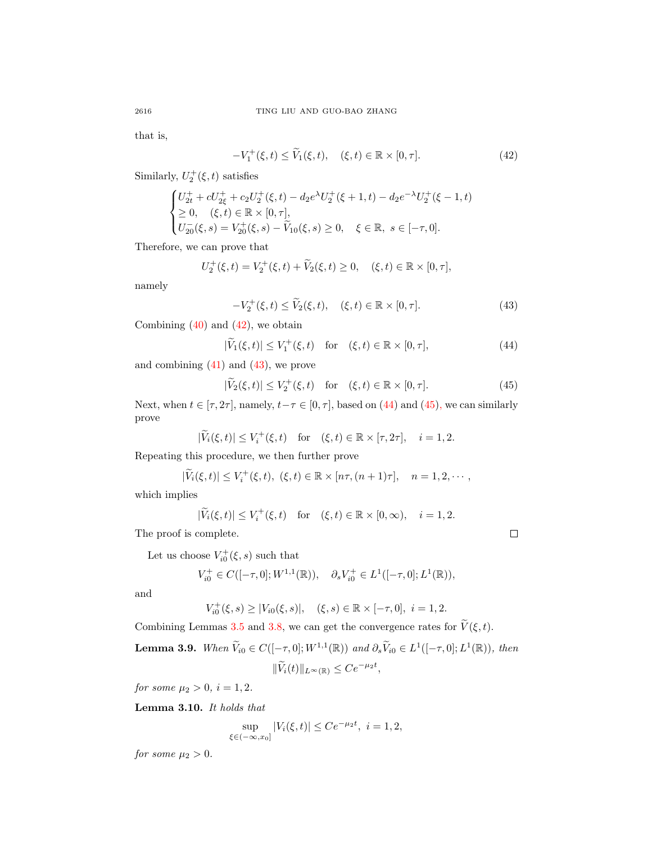that is,

<span id="page-17-0"></span>
$$
-V_1^+(\xi, t) \le \widetilde{V}_1(\xi, t), \quad (\xi, t) \in \mathbb{R} \times [0, \tau]. \tag{42}
$$

Similarly,  $U_2^+(\xi, t)$  satisfies

$$
\begin{cases}\nU_{2t}^+ + cU_{2\xi}^+ + c_2U_2^+(\xi, t) - d_2e^{\lambda}U_2^+(\xi + 1, t) - d_2e^{-\lambda}U_2^+(\xi - 1, t) \\
\ge 0, & (\xi, t) \in \mathbb{R} \times [0, \tau], \\
U_{20}^-(\xi, s) = V_{20}^+(\xi, s) - \widetilde{V}_{10}(\xi, s) \ge 0, & \xi \in \mathbb{R}, \ s \in [-\tau, 0].\n\end{cases}
$$

Therefore, we can prove that

$$
U_2^+(\xi, t) = V_2^+(\xi, t) + \widetilde{V}_2(\xi, t) \ge 0, \quad (\xi, t) \in \mathbb{R} \times [0, \tau],
$$

namely

$$
-V_2^+(\xi, t) \le \widetilde{V}_2(\xi, t), \quad (\xi, t) \in \mathbb{R} \times [0, \tau]. \tag{43}
$$

Combining  $(40)$  and  $(42)$ , we obtain

$$
|\widetilde{V}_1(\xi, t)| \le V_1^+(\xi, t) \quad \text{for} \quad (\xi, t) \in \mathbb{R} \times [0, \tau], \tag{44}
$$

and combining  $(41)$  and  $(43)$ , we prove

$$
|\widetilde{V}_2(\xi, t)| \le V_2^+(\xi, t) \quad \text{for} \quad (\xi, t) \in \mathbb{R} \times [0, \tau]. \tag{45}
$$

Next, when  $t \in [\tau, 2\tau]$ , namely,  $t - \tau \in [0, \tau]$ , based on [\(44\)](#page-17-2) and [\(45\)](#page-17-3), we can similarly prove

$$
|\widetilde{V}_i(\xi, t)| \le V_i^+(\xi, t) \quad \text{for} \quad (\xi, t) \in \mathbb{R} \times [\tau, 2\tau], \quad i = 1, 2.
$$

Repeating this procedure, we then further prove

$$
|\widetilde{V}_i(\xi,t)| \leq V_i^+(\xi,t), \ (\xi,t) \in \mathbb{R} \times [n\tau, (n+1)\tau], \quad n=1,2,\cdots,
$$

which implies

$$
|\widetilde{V}_i(\xi, t)| \le V_i^+(\xi, t) \quad \text{for} \quad (\xi, t) \in \mathbb{R} \times [0, \infty), \quad i = 1, 2.
$$

The proof is complete.

Let us choose  $V_{i0}^{+}(\xi, s)$  such that

$$
V_{i0}^+ \in C([-\tau, 0]; W^{1,1}(\mathbb{R})), \quad \partial_s V_{i0}^+ \in L^1([-\tau, 0]; L^1(\mathbb{R})),
$$

and

$$
V_{i0}^{+}(\xi, s) \ge |V_{i0}(\xi, s)|, \quad (\xi, s) \in \mathbb{R} \times [-\tau, 0], \ i = 1, 2.
$$

Combining Lemmas [3.5](#page-13-2) and [3.8,](#page-15-6) we can get the convergence rates for  $\widetilde{V}(\xi, t)$ .

**Lemma 3.9.** When  $\widetilde{V}_{i0} \in C([-\tau, 0]; W^{1,1}(\mathbb{R}))$  and  $\partial_s \widetilde{V}_{i0} \in L^1([-\tau, 0]; L^1(\mathbb{R}))$ , then  $\|\widetilde{V}_i(t)\|_{L^\infty(\mathbb{R})} \le Ce^{-\mu_2 t},$ 

for some  $\mu_2 > 0$ ,  $i = 1, 2$ .

<span id="page-17-4"></span>Lemma 3.10. It holds that

$$
\sup_{\xi \in (-\infty, x_0]} |V_i(\xi, t)| \le Ce^{-\mu_2 t}, \ i = 1, 2,
$$

for some  $\mu_2 > 0$ .

<span id="page-17-3"></span><span id="page-17-2"></span><span id="page-17-1"></span>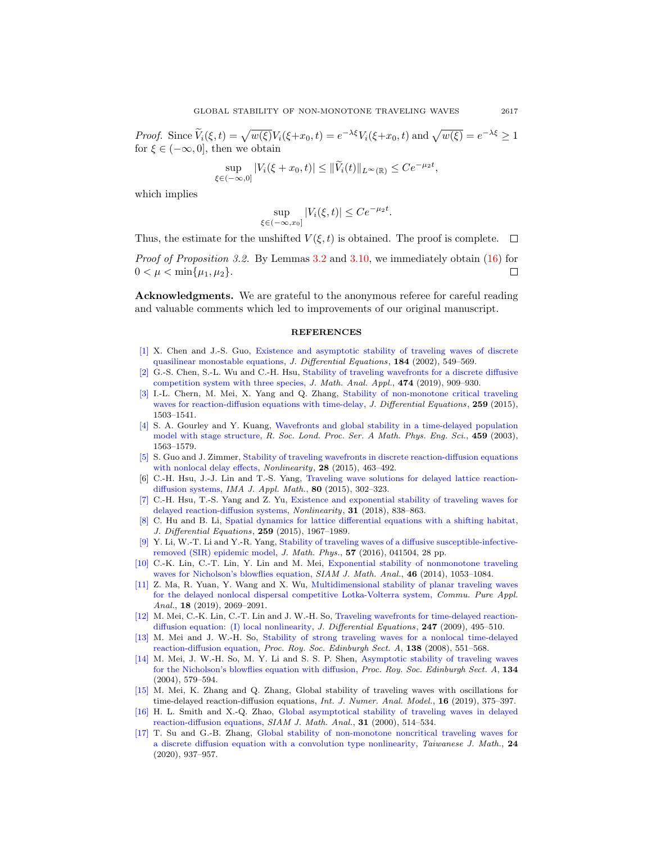Proof. Since  $V_i(\xi, t) = \sqrt{w(\xi)}V_i(\xi + x_0, t) = e^{-\lambda \xi}V_i(\xi + x_0, t)$  and  $\sqrt{w(\xi)} = e^{-\lambda \xi} \ge 1$ for  $\xi \in (-\infty, 0]$ , then we obtain

$$
\sup_{\in (-\infty,0]} |V_i(\xi + x_0,t)| \le ||\widetilde{V}_i(t)||_{L^{\infty}(\mathbb{R})} \le Ce^{-\mu_2 t},
$$

which implies

 $\xi$ 

$$
\sup_{\xi \in (-\infty, x_0]} |V_i(\xi, t)| \le Ce^{-\mu_2 t}.
$$

Thus, the estimate for the unshifted  $V(\xi, t)$  is obtained. The proof is complete.

Proof of Proposition 3.2. By Lemmas [3.2](#page-9-2) and [3.10,](#page-17-4) we immediately obtain [\(16\)](#page-9-3) for  $0 < \mu < \min\{\mu_1, \mu_2\}.$ □

Acknowledgments. We are grateful to the anonymous referee for careful reading and valuable comments which led to improvements of our original manuscript.

## **REFERENCES**

- <span id="page-18-8"></span>[\[1\]](http://www.ams.org/mathscinet-getitem?mr=MR1929888&return=pdf) X. Chen and J.-S. Guo, [Existence and asymptotic stability of traveling waves of discrete](http://dx.doi.org/10.1006/jdeq.2001.4153) [quasilinear monostable equations,](http://dx.doi.org/10.1006/jdeq.2001.4153) J. Differential Equations, 184 (2002), 549–569.
- <span id="page-18-10"></span>[\[2\]](http://www.ams.org/mathscinet-getitem?mr=MR3926148&return=pdf) G.-S. Chen, S.-L. Wu and C.-H. Hsu, [Stability of traveling wavefronts for a discrete diffusive](http://dx.doi.org/10.1016/j.jmaa.2019.01.079) [competition system with three species,](http://dx.doi.org/10.1016/j.jmaa.2019.01.079) J. Math. Anal. Appl., 474 (2019), 909–930.
- <span id="page-18-11"></span>[\[3\]](http://www.ams.org/mathscinet-getitem?mr=MR3345859&return=pdf) I.-L. Chern, M. Mei, X. Yang and Q. Zhang, [Stability of non-monotone critical traveling](http://dx.doi.org/10.1016/j.jde.2015.03.003) [waves for reaction-diffusion equations with time-delay,](http://dx.doi.org/10.1016/j.jde.2015.03.003) J. Differential Equations, 259 (2015), 1503–1541.
- <span id="page-18-1"></span>[\[4\]](http://www.ams.org/mathscinet-getitem?mr=MR1994271&return=pdf) S. A. Gourley and Y. Kuang, [Wavefronts and global stability in a time-delayed population](http://dx.doi.org/10.1098/rspa.2002.1094) [model with stage structure,](http://dx.doi.org/10.1098/rspa.2002.1094) R. Soc. Lond. Proc. Ser. A Math. Phys. Eng. Sci., 459 (2003), 1563–1579.
- <span id="page-18-9"></span>[\[5\]](http://www.ams.org/mathscinet-getitem?mr=MR3303176&return=pdf) S. Guo and J. Zimmer, [Stability of traveling wavefronts in discrete reaction-diffusion equations](http://dx.doi.org/10.1088/0951-7715/28/2/463) [with nonlocal delay effects,](http://dx.doi.org/10.1088/0951-7715/28/2/463) Nonlinearity, 28 (2015), 463-492.
- <span id="page-18-15"></span>[6] C.-H. Hsu, J.-J. Lin and T.-S. Yang, [Traveling wave solutions for delayed lattice reaction](http://dx.doi.org/10.1093/imamat/hxt039)[diffusion systems,](http://dx.doi.org/10.1093/imamat/hxt039) IMA J. Appl. Math., 80 (2015), 302–323.
- <span id="page-18-0"></span>[\[7\]](http://www.ams.org/mathscinet-getitem?mr=MR3784990&return=pdf) C.-H. Hsu, T.-S. Yang and Z. Yu, [Existence and exponential stability of traveling waves for](http://dx.doi.org/10.1088/1361-6544/aa99a1) [delayed reaction-diffusion systems,](http://dx.doi.org/10.1088/1361-6544/aa99a1) Nonlinearity, 31 (2018), 838–863.
- <span id="page-18-14"></span>[\[8\]](http://www.ams.org/mathscinet-getitem?mr=MR3349426&return=pdf) C. Hu and B. Li, [Spatial dynamics for lattice differential equations with a shifting habitat,](http://dx.doi.org/10.1016/j.jde.2015.03.025) J. Differential Equations, 259 (2015), 1967–1989.
- <span id="page-18-2"></span>[\[9\]](http://www.ams.org/mathscinet-getitem?mr=MR3490056&return=pdf) Y. Li, W.-T. Li and Y.-R. Yang, [Stability of traveling waves of a diffusive susceptible-infective](http://dx.doi.org/10.1063/1.4947106)[removed \(SIR\) epidemic model,](http://dx.doi.org/10.1063/1.4947106) J. Math. Phys., 57 (2016), 041504, 28 pp.
- <span id="page-18-3"></span>[\[10\]](http://www.ams.org/mathscinet-getitem?mr=MR3174173&return=pdf) C.-K. Lin, C.-T. Lin, Y. Lin and M. Mei, [Exponential stability of nonmonotone traveling](http://dx.doi.org/10.1137/120904391) [waves for Nicholson's blowflies equation,](http://dx.doi.org/10.1137/120904391) SIAM J. Math. Anal., 46 (2014), 1053-1084.
- <span id="page-18-16"></span>[\[11\]](http://www.ams.org/mathscinet-getitem?mr=MR3927430&return=pdf) Z. Ma, R. Yuan, Y. Wang and X. Wu, [Multidimensional stability of planar traveling waves](http://dx.doi.org/10.3934/cpaa.2019093) [for the delayed nonlocal dispersal competitive Lotka-Volterra system,](http://dx.doi.org/10.3934/cpaa.2019093) Commu. Pure Appl. Anal., 18 (2019), 2069–2091.
- <span id="page-18-4"></span>[\[12\]](http://www.ams.org/mathscinet-getitem?mr=MR2523688&return=pdf) M. Mei, C.-K. Lin, C.-T. Lin and J. W.-H. So, [Traveling wavefronts for time-delayed reaction](http://dx.doi.org/10.1016/j.jde.2008.12.026)[diffusion equation: \(I\) local nonlinearity,](http://dx.doi.org/10.1016/j.jde.2008.12.026) J. Differential Equations, 247 (2009), 495-510.
- <span id="page-18-5"></span>[\[13\]](http://www.ams.org/mathscinet-getitem?mr=MR2418127&return=pdf) M. Mei and J. W.-H. So, [Stability of strong traveling waves for a nonlocal time-delayed](http://dx.doi.org/10.1017/S0308210506000333) [reaction-diffusion equation,](http://dx.doi.org/10.1017/S0308210506000333) Proc. Roy. Soc. Edinburgh Sect. A, 138 (2008), 551–568.
- <span id="page-18-6"></span>[\[14\]](http://www.ams.org/mathscinet-getitem?mr=MR2068117&return=pdf) M. Mei, J. W.-H. So, M. Y. Li and S. S. P. Shen, [Asymptotic stability of traveling waves](http://dx.doi.org/10.1017/S0308210500003358) [for the Nicholson's blowflies equation with diffusion,](http://dx.doi.org/10.1017/S0308210500003358) Proc. Roy. Soc. Edinburgh Sect. A, 134 (2004), 579–594.
- <span id="page-18-12"></span>[\[15\]](http://www.ams.org/mathscinet-getitem?mr=MR3879945&return=pdf) M. Mei, K. Zhang and Q. Zhang, Global stability of traveling waves with oscillations for time-delayed reaction-diffusion equations, *Int. J. Numer. Anal. Model.*, **16** (2019), 375–397.
- <span id="page-18-7"></span>[\[16\]](http://www.ams.org/mathscinet-getitem?mr=MR1740724&return=pdf) H. L. Smith and X.-Q. Zhao, [Global asymptotical stability of traveling waves in delayed](http://dx.doi.org/10.1137/S0036141098346785) [reaction-diffusion equations,](http://dx.doi.org/10.1137/S0036141098346785) SIAM J. Math. Anal., 31 (2000), 514–534.
- <span id="page-18-13"></span>[\[17\]](http://www.ams.org/mathscinet-getitem?mr=MR4124552&return=pdf) T. Su and G.-B. Zhang, [Global stability of non-monotone noncritical traveling waves for](http://dx.doi.org/10.11650/tjm/190901) [a discrete diffusion equation with a convolution type nonlinearity,](http://dx.doi.org/10.11650/tjm/190901) Taiwanese J. Math., 24 (2020), 937–957.